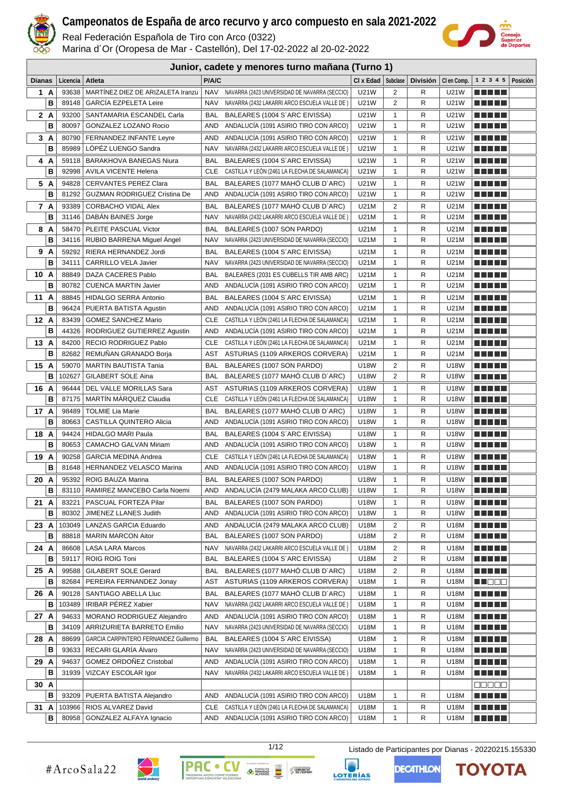

Real Federación Española de Tiro con Arco (0322)

Marina d´Or (Oropesa de Mar - Castellón), Del 17-02-2022 al 20-02-2022



|               | Junior, cadete y menores turno mañana (Turno 1) |                                                        |                   |                                                                            |                          |                   |                 |              |                           |          |
|---------------|-------------------------------------------------|--------------------------------------------------------|-------------------|----------------------------------------------------------------------------|--------------------------|-------------------|-----------------|--------------|---------------------------|----------|
| <b>Dianas</b> | Licencia                                        | Atleta                                                 | P/A/C             |                                                                            | $Cl x$ Edad $ $ Subclase |                   | <b>División</b> | CI en Comp.  | 1 2 3 4 5                 | Posición |
| 1 A           | 93638                                           | MARTINEZ DIEZ DE ARIZALETA Iranzu                      | <b>NAV</b>        | NAVARRA (2423 UNIVERSIDAD DE NAVARRA (SECCIO)                              | U21W                     | 2                 | R               | <b>U21W</b>  | n di Titolo               |          |
| В             | 89148                                           | <b>GARCIA EZPELETA Leire</b>                           | <b>NAV</b>        | NAVARRA (2432 LAKARRI ARCO ESCUELA VALLE DE)                               | U21W                     | 2                 | R               | U21W         | .                         |          |
| 2A            | 93200                                           | SANTAMARIA ESCANDEL Carla                              | BAL               | BALEARES (1004 S'ARC EIVISSA)                                              | U21W                     | 1                 | R               | U21W         | <u> Literatur</u>         |          |
| B             | 80097                                           | GONZALEZ LOZANO Rocio                                  | AND               | ANDALUCIA (1091 ASIRIO TIRO CON ARCO)                                      | U21W                     | $\mathbf{1}$      | R               | U21W         |                           |          |
| 3A            | 80790                                           | <b>FERNANDEZ INFANTE Leyre</b>                         | AND               | ANDALUCÍA (1091 ASIRIO TIRO CON ARCO)                                      | U21W                     | 1                 | R               | U21W         | e de la politik           |          |
| в             | 85989                                           | LOPEZ LUENGO Sandra                                    | <b>NAV</b>        | NAVARRA (2432 LAKARRI ARCO ESCUELA VALLE DE)                               | U21W                     | $\mathbf{1}$      | R               | U21W         | e e e e e                 |          |
| 4 A           | 59118                                           | <b>BARAKHOVA BANEGAS Niura</b>                         | BAL               | BALEARES (1004 S'ARC EIVISSA)                                              | U21W                     | 1                 | R               | U21W         | a di seb                  |          |
| в             | 92998                                           | <b>AVILA VICENTE Helena</b>                            | CLE               | CASTILLA Y LEON (2461 LA FLECHA DE SALAMANCA)                              | U21W                     | $\mathbf{1}$      | R               | U21W         | a di seb                  |          |
| 5 A           | 94828                                           | <b>CERVANTES PEREZ Clara</b>                           | BAL               | BALEARES (1077 MAHO CLUB D'ARC)                                            | U21W                     | 1                 | R               | U21W         | e de la politik           |          |
| в             | 81292                                           | <b>GUZMAN RODRIGUEZ Cristina De</b>                    | AND               | ANDALUCIA (1091 ASIRIO TIRO CON ARCO)                                      | U21W                     | $\mathbf{1}$      | R               | U21W         | a di seb                  |          |
| 7 A           | 93389                                           | CORBACHO VIDAL Alex                                    | BAL               | BALEARES (1077 MAHO CLUB D'ARC)                                            | U21M                     | 2                 | R               | U21M         | e de la politik           |          |
| в             | 31146                                           | DABAN BAINES Jorge                                     | <b>NAV</b>        | NAVARRA (2432 LAKARRI ARCO ESCUELA VALLE DE)                               | U21M                     | 1                 | R               | U21M         | a di seb                  |          |
|               |                                                 |                                                        |                   |                                                                            |                          |                   |                 |              |                           |          |
| 8 A<br>B      | 58470<br>34116                                  | PLEITE PASCUAL Victor                                  | BAL<br><b>NAV</b> | BALEARES (1007 SON PARDO)<br>NAVARRA (2423 UNIVERSIDAD DE NAVARRA (SECCIO) | U21M<br>U21M             | 1<br>$\mathbf{1}$ | R<br>R          | U21M<br>U21M | a di seb                  |          |
|               |                                                 | RUBIO BARRENA Miguel Angel                             |                   |                                                                            |                          |                   |                 |              | <u> Literatur</u>         |          |
| 9 A<br>B      | 59292                                           | RIERA HERNANDEZ Jordi                                  | BAL               | BALEARES (1004 S'ARC EIVISSA)                                              | U21M                     | $\mathbf{1}$      | R               | U21M         | a di seb                  |          |
|               | 34111                                           | CARRILLO VELA Javier                                   | <b>NAV</b>        | NAVARRA (2423 UNIVERSIDAD DE NAVARRA (SECCIO)                              | U21M                     | 1                 | R               | U21M         | <u> Literatur</u>         |          |
| 10 A          | 88849                                           | DAZA CACERES Pablo                                     | BAL               | BALEARES (2031 ES CUBELLS TIR AMB ARC)                                     | U21M                     | 1                 | R               | U21M         | MA MARIT                  |          |
| B             | 80782                                           | <b>CUENCA MARTIN Javier</b>                            | AND               | ANDALUCIA (1091 ASIRIO TIRO CON ARCO)                                      | U21M                     | 1                 | R               | U21M         | <u> Literatur</u>         |          |
| 11 A<br>в     | 88845<br>96424                                  | <b>HIDALGO SERRA Antonio</b><br>PUERTA BATISTA Agustin | BAL<br>AND        | BALEARES (1004 S'ARC EIVISSA)<br>ANDALUCIA (1091 ASIRIO TIRO CON ARCO)     | U21M<br>U21M             | $\mathbf{1}$<br>1 | R<br>R          | U21M<br>U21M | MA MARIT                  |          |
|               |                                                 |                                                        |                   |                                                                            |                          |                   |                 |              | <u> Literatur</u>         |          |
| 12 A          | 83439                                           | <b>GOMEZ SANCHEZ Mario</b>                             | CLE               | CASTILLA Y LEON (2461 LA FLECHA DE SALAMANCA)                              | U21M                     | $\mathbf{1}$      | R               | U21M         | ma mata                   |          |
| B             | 44326                                           | RODRIGUEZ GUTIERREZ Agustin                            | AND               | ANDALUCIA (1091 ASIRIO TIRO CON ARCO)                                      | U21M                     | 1                 | R               | U21M         | <u> Literatur</u>         |          |
| 13 A          | 84200                                           | RECIO RODRIGUEZ Pablo                                  | CLE               | CASTILLA Y LEON (2461 LA FLECHA DE SALAMANCA)                              | U21M                     | 1                 | R               | U21M         | MA MARIT                  |          |
| B             | 82682                                           | REMUNAN GRANADO Borja                                  | AST               | ASTURIAS (1109 ARKEROS CORVERA)                                            | U21M                     | 1                 | R               | U21M         | <u> Literatur</u>         |          |
| 15 A          | 59070                                           | <b>MARTIN BAUTISTA Tania</b>                           | BAL               | BALEARES (1007 SON PARDO)                                                  | U18W                     | 2                 | R               | U18W         | e de la politik           |          |
| B             | 102627                                          | GILABERT SOLE Aina                                     | BAL               | BALEARES (1077 MAHÓ CLUB D'ARC)                                            | U18W                     | 2                 | R               | U18W         | <u> Literatur</u>         |          |
| 16 A          | 96444                                           | DEL VALLE MORILLAS Sara                                | AST               | ASTURIAS (1109 ARKEROS CORVERA)                                            | U18W                     | 1                 | R               | U18W         | MA MARIT                  |          |
| B             | 87175                                           | <b>MARTIN MARQUEZ Claudia</b>                          | CLE               | CASTILLA Y LEON (2461 LA FLECHA DE SALAMANCA)                              | U18W                     | $\mathbf{1}$      | R               | U18W         | e de la politik           |          |
| 17 A          | 98489                                           | <b>TOLMIE Lia Marie</b>                                | BAL               | BALEARES (1077 MAHO CLUB D'ARC)                                            | U18W                     | 1                 | R               | U18W         | MA MARIT                  |          |
| в             | 80663                                           | CASTILLA QUINTERO Alicia                               | AND               | ANDALUCIA (1091 ASIRIO TIRO CON ARCO)                                      | U18W                     | $\mathbf{1}$      | R               | U18W         | <u> Literatur</u>         |          |
| 18 A          | 94424                                           | <b>HIDALGO MARI Paula</b>                              | BAL               | BALEARES (1004 S'ARC EIVISSA)                                              | U18W                     | 1                 | R               | U18W         | <u> Literatur</u>         |          |
| в             | 80653                                           | <b>CAMACHO GALVAN Miriam</b>                           | AND               | ANDALUCIA (1091 ASIRIO TIRO CON ARCO)                                      | U18W                     | $\mathbf{1}$      | R               | U18W         | <u> Literatur</u>         |          |
| 19 A          | 90258                                           | <b>GARCIA MEDINA Andrea</b>                            | CLE               | CASTILLA Y LEON (2461 LA FLECHA DE SALAMANCA)                              | U18W                     | 1                 | R               | U18W         |                           |          |
| в             | 81648                                           | HERNANDEZ VELASCO Marina                               | AND               | ANDALUCIA (1091 ASIRIO TIRO CON ARCO)                                      | U18W                     | $\mathbf{1}$      | R               | U18W         | n din bir                 |          |
| 20 A          | 95392                                           | ROIG BAUZA Marina                                      | BAL               | BALEARES (1007 SON PARDO)                                                  | U18W                     | 1                 | R               | U18W         | n di Titolo               |          |
| в             |                                                 | 83110   RAMIREZ MANCEBO Carla Noemi                    | AND               | ANDALUCIA (2479 MALAKA ARCO CLUB)                                          | U18W                     | 1                 | R               | U18W         | <u> Literatur</u>         |          |
| 21 A          | 83221                                           | PASCUAL FORTEZA Pilar                                  | BAL               | BALEARES (1007 SON PARDO)                                                  | U18W                     | 1                 | R               | U18W         | <u> Literatur</u>         |          |
| в             | 80302                                           | JIMENEZ LLANES Judith                                  | <b>AND</b>        | ANDALUCÍA (1091 ASIRIO TIRO CON ARCO)                                      | U18W                     | 1                 | R               | U18W         | <u> Literatur</u>         |          |
| 23 A          |                                                 | 103049   LANZAS GARCIA Eduardo                         | AND               | ANDALUCÍA (2479 MALAKA ARCO CLUB)                                          | U18M                     | 2                 | R               | U18M         | <u> Literatur</u>         |          |
| B             | 88818                                           | <b>MARIN MARCON Aitor</b>                              | BAL               | BALEARES (1007 SON PARDO)                                                  | U18M                     | 2                 | R               | U18M         | <u> Literatur</u>         |          |
| 24 A          | 86608                                           | <b>LASA LARA Marcos</b>                                | <b>NAV</b>        | NAVARRA (2432 LAKARRI ARCO ESCUELA VALLE DE)                               | U18M                     | 2                 | R               | U18M         | MA MARIT                  |          |
| В             | 59117                                           | ROIG ROIG Toni                                         | BAL               | BALEARES (1004 S'ARC EIVISSA)                                              | U18M                     | 2                 | R               | U18M         | MA MARIT                  |          |
| 25 A          | 99588                                           | GILABERT SOLE Gerard                                   | BAL               | BALEARES (1077 MAHÓ CLUB D'ARC)                                            | U18M                     | 2                 | R               | U18M         | <u> Literatur</u>         |          |
| в             | 82684                                           | PEREIRA FERNANDEZ Jonay                                | AST               | ASTURIAS (1109 ARKEROS CORVERA)                                            | U18M                     | 1                 | R               | U18M         | en de la p                |          |
| 26 A          | 90128                                           | SANTIAGO ABELLA Lluc                                   | <b>BAL</b>        | BALEARES (1077 MAHÓ CLUB D'ARC)                                            | U18M                     | 1                 | R               | U18M         | <u> Literatur</u>         |          |
| в             | 103489                                          | IRIBAR PÉREZ Xabier                                    | <b>NAV</b>        | NAVARRA (2432 LAKARRI ARCO ESCUELA VALLE DE)                               | U18M                     | 1                 | R               | U18M         |                           |          |
| 27 A          | 94633                                           | MORANO RODRIGUEZ Alejandro                             | AND               | ANDALUCÍA (1091 ASIRIO TIRO CON ARCO)                                      | U18M                     | 1                 | R               | U18M         | <u> Literatur</u>         |          |
| в             | 34109                                           | ARRIZURIETA BARRETO Emilio                             | <b>NAV</b>        | NAVARRA (2423 UNIVERSIDAD DE NAVARRA (SECCIO)                              | U18M                     | 1                 | R               | U18M         | <u> Literatur</u>         |          |
| 28 A          | 88699                                           | GARCIA CARPINTERO FERNANDEZ Guillermo                  | <b>BAL</b>        | BALEARES (1004 S'ARC EIVISSA)                                              | U18M                     | 1                 | R               | U18M         | e de la politik           |          |
| В             | 93633                                           | RECARI GLARÍA Álvaro                                   | <b>NAV</b>        | NAVARRA (2423 UNIVERSIDAD DE NAVARRA (SECCIO)                              | U18M                     | 1                 | R               | U18M         | <u> Literatur</u>         |          |
| 29 A          | 94637                                           | <b>GOMEZ ORDOÑEZ Cristobal</b>                         | AND               | ANDALUCÍA (1091 ASIRIO TIRO CON ARCO)                                      | U18M                     | $\mathbf{1}$      | R               | U18M         | e de la politik           |          |
| B             |                                                 | 31939   VIZCAY ESCOLAR Igor                            | <b>NAV</b>        | NAVARRA (2432 LAKARRI ARCO ESCUELA VALLE DE)                               | U18M                     | $\mathbf{1}$      | R               | U18M         | <u> Literatur</u>         |          |
| 30 A          |                                                 |                                                        |                   |                                                                            |                          |                   |                 |              | a da a a                  |          |
| в             |                                                 | 93209   PUERTA BATISTA Alejandro                       | AND               | ANDALUCÍA (1091 ASIRIO TIRO CON ARCO)                                      | U18M                     | $\mathbf{1}$      | R               | U18M         | <u> Literatur</u>         |          |
| 31 A          | 103966                                          | RIOS ALVAREZ David                                     | CLE               | CASTILLA Y LEÓN (2461 LA FLECHA DE SALAMANCA)                              | U18M                     | 1                 | R               | U18M         | e de la politik           |          |
| в             | 80958                                           | GONZALEZ ALFAYA Ignacio                                | AND               | ANDALUCÍA (1091 ASIRIO TIRO CON ARCO)                                      | U18M                     | 1                 | R               | U18M         | <u> Literatura de la </u> |          |





COMUNITAT



1/12 Listado de Participantes por Dianas - 20220215.155330

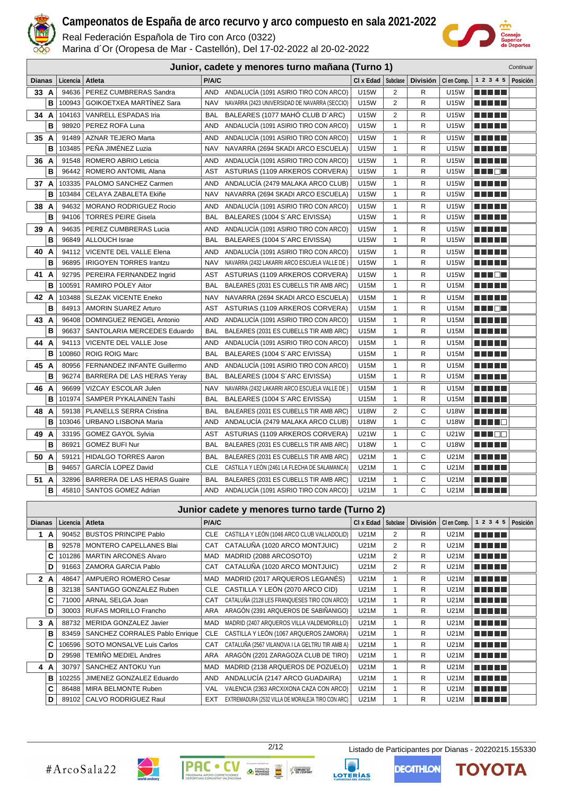

Real Federación Española de Tiro con Arco (0322)

Marina d´Or (Oropesa de Mar - Castellón), Del 17-02-2022 al 20-02-2022



ΤΟΥΟΤΑ

**DECATHLON** 

|               |   |          |                                    |            | Junior, cadete y menores turno mañana (Turno 1) |             |                |                 |             |                        | Continuar |
|---------------|---|----------|------------------------------------|------------|-------------------------------------------------|-------------|----------------|-----------------|-------------|------------------------|-----------|
| <b>Dianas</b> |   | Licencia | Atleta                             | P/A/C      |                                                 | CI x Edad   | Subclase       | <b>División</b> | CI en Comp. | 1 2 3 4 5              | Posición  |
| 33A           |   | 94636    | PEREZ CUMBRERAS Sandra             | <b>AND</b> | ANDALUCÍA (1091 ASIRIO TIRO CON ARCO)           | <b>U15W</b> | 2              | R               | U15W        | .                      |           |
|               | B | 100943   | <b>GOIKOETXEA MARTINEZ Sara</b>    | <b>NAV</b> | NAVARRA (2423 UNIVERSIDAD DE NAVARRA (SECCIO)   | <b>U15W</b> | $\overline{2}$ | R               | <b>U15W</b> | <u> El Bertin</u>      |           |
| 34 A          |   | 104163   | <b>VANRELL ESPADAS Iria</b>        | <b>BAL</b> | BALEARES (1077 MAHÓ CLUB D'ARC)                 | U15W        | 2              | R               | U15W        | <u> El Bertin</u>      |           |
|               | в | 98920    | PEREZ ROFA Luna                    | <b>AND</b> | ANDALUCIA (1091 ASIRIO TIRO CON ARCO)           | <b>U15W</b> | $\mathbf{1}$   | R               | U15W        |                        |           |
| 35 A          |   | 91489    | <b>AZNAR TEJERO Marta</b>          | <b>AND</b> | ANDALUCÍA (1091 ASIRIO TIRO CON ARCO)           | <b>U15W</b> | $\mathbf{1}$   | R               | U15W        | ma matsa               |           |
|               | B | 103485   | PEÑA JIMÉNEZ Luzia                 | <b>NAV</b> | NAVARRA (2694 SKADI ARCO ESCUELA)               | U15W        | $\mathbf{1}$   | R               | U15W        |                        |           |
| 36 A          |   | 91548    | ROMERO ABRIO Leticia               | <b>AND</b> | ANDALUCIA (1091 ASIRIO TIRO CON ARCO)           | <b>U15W</b> | $\mathbf{1}$   | R               | <b>U15W</b> | ma matsa               |           |
|               | B | 96442    | <b>ROMERO ANTOMIL Alana</b>        | AST        | ASTURIAS (1109 ARKEROS CORVERA)                 | <b>U15W</b> | $\mathbf{1}$   | R               | U15W        | ma mata                |           |
| 37 A          |   | 103335   | PALOMO SANCHEZ Carmen              | <b>AND</b> | ANDALUCÍA (2479 MALAKA ARCO CLUB)               | <b>U15W</b> | $\mathbf{1}$   | R               | U15W        | ma matsa               |           |
|               | В | 103484   | CELAYA ZABALETA Ekiñe              | <b>NAV</b> | NAVARRA (2694 SKADI ARCO ESCUELA)               | U15W        | $\mathbf{1}$   | R               | U15W        | <u> El Bertin</u>      |           |
| 38 A          |   | 94632    | MORANO RODRIGUEZ Rocio             | <b>AND</b> | ANDALUCÍA (1091 ASIRIO TIRO CON ARCO)           | U15W        | $\mathbf{1}$   | R               | U15W        | n na m                 |           |
|               | в | 94106    | <b>TORRES PEIRE Gisela</b>         | BAL        | BALEARES (1004 S'ARC EIVISSA)                   | <b>U15W</b> | $\mathbf{1}$   | R               | U15W        | n di Titolo            |           |
| 39 A          |   | 94635    | PEREZ CUMBRERAS Lucia              | AND        | ANDALUCÍA (1091 ASIRIO TIRO CON ARCO)           | <b>U15W</b> | $\mathbf{1}$   | R               | <b>U15W</b> | ma mata                |           |
|               | B | 96849    | <b>ALLOUCH Israe</b>               | <b>BAL</b> | BALEARES (1004 S'ARC EIVISSA)                   | U15W        | $\mathbf{1}$   | R               | U15W        | ma matsa               |           |
| 40            | A | 94112    | VICENTE DEL VALLE Elena            | <b>AND</b> | ANDALUCÍA (1091 ASIRIO TIRO CON ARCO)           | U15W        | $\mathbf{1}$   | R               | U15W        | n din din              |           |
|               | в | 96895    | <b>IRIGOYEN TORRES Irantzu</b>     | <b>NAV</b> | NAVARRA (2432 LAKARRI ARCO ESCUELA VALLE DE)    | <b>U15W</b> | $\mathbf{1}$   | R               | U15W        | <u> El Bertin</u>      |           |
| 41 A          |   | 92795    | PEREIRA FERNANDEZ Ingrid           | AST        | ASTURIAS (1109 ARKEROS CORVERA)                 | U15W        | 1              | R               | U15W        | 11   11   12   1       |           |
|               | в | 100591   | RAMIRO POLEY Aitor                 | <b>BAL</b> | BALEARES (2031 ES CUBELLS TIR AMB ARC)          | U15M        | $\mathbf{1}$   | R               | U15M        | <u> Literatur in s</u> |           |
| 42 A          |   | 103488   | <b>SLEZAK VICENTE Eneko</b>        | <b>NAV</b> | NAVARRA (2694 SKADI ARCO ESCUELA)               | U15M        | $\mathbf{1}$   | R               | U15M        | ma matsa               |           |
|               | в | 84913    | <b>AMORIN SUAREZ Arturo</b>        | AST        | ASTURIAS (1109 ARKEROS CORVERA)                 | U15M        | $\mathbf{1}$   | R               | U15M        | MA METAL               |           |
| 43            | A | 96408    | DOMINGUEZ RENGEL Antonio           | <b>AND</b> | ANDALUCÍA (1091 ASIRIO TIRO CON ARCO)           | U15M        | 1              | R               | U15M        |                        |           |
|               | B | 96637    | SANTOLARIA MERCEDES Eduardo        | <b>BAL</b> | BALEARES (2031 ES CUBELLS TIR AMB ARC)          | U15M        | $\mathbf{1}$   | R               | U15M        | ma matsa               |           |
| 44 A          |   | 94113    | <b>VICENTE DEL VALLE Jose</b>      | <b>AND</b> | ANDALUCIA (1091 ASIRIO TIRO CON ARCO)           | U15M        | 1              | R               | U15M        | ma matsa               |           |
|               | B | 100860   | <b>ROIG ROIG Marc</b>              | <b>BAL</b> | BALEARES (1004 S'ARC EIVISSA)                   | U15M        | $\mathbf{1}$   | R               | U15M        | n di Titolo            |           |
| 45 A          |   | 80956    | FERNANDEZ INFANTE Guillermo        | <b>AND</b> | ANDALUCIA (1091 ASIRIO TIRO CON ARCO)           | U15M        | 1              | R               | U15M        | MA MPL                 |           |
|               | B | 96274    | BARRERA DE LAS HERAS Yeray         | <b>BAL</b> | BALEARES (1004 S'ARC EIVISSA)                   | U15M        | $\mathbf{1}$   | R               | U15M        | <u> El Bertin</u>      |           |
| 46 A          |   | 96699    | VIZCAY ESCOLAR Julen               | <b>NAV</b> | NAVARRA (2432 LAKARRI ARCO ESCUELA VALLE DE)    | U15M        | $\mathbf{1}$   | R               | U15M        | M M M M                |           |
|               | в | 101974   | SAMPER PYKALAINEN Tashi            | <b>BAL</b> | BALEARES (1004 S'ARC EIVISSA)                   | U15M        | $\mathbf{1}$   | R               | U15M        | <u> El Bertin</u>      |           |
| 48 A          |   | 59138    | PLANELLS SERRA Cristina            | <b>BAL</b> | BALEARES (2031 ES CUBELLS TIR AMB ARC)          | <b>U18W</b> | $\overline{2}$ | C               | <b>U18W</b> | ma matsa               |           |
|               | B | 103046   | URBANO LISBONA Maria               | <b>AND</b> | ANDALUCIA (2479 MALAKA ARCO CLUB)               | <b>U18W</b> | $\mathbf{1}$   | C               | U18W        | a da kasa              |           |
| 49 A          |   | 33195    | <b>GOMEZ GAYOL Sylvia</b>          | AST        | ASTURIAS (1109 ARKEROS CORVERA)                 | <b>U21W</b> | $\mathbf{1}$   | С               | U21W        | an di Biblio           |           |
|               | B | 86921    | <b>GOMEZ BUFI Nur</b>              | <b>BAL</b> | BALEARES (2031 ES CUBELLS TIR AMB ARC)          | <b>U18W</b> | $\mathbf{1}$   | C               | <b>U18W</b> | <u> El Bertin</u>      |           |
| 50 A          |   | 59121    | <b>HIDALGO TORRES Aaron</b>        | BAL        | BALEARES (2031 ES CUBELLS TIR AMB ARC)          | U21M        | 1              | С               | U21M        | <u> Literatur in s</u> |           |
|               | B | 94657    | <b>GARCIA LOPEZ David</b>          | <b>CLE</b> | CASTILLA Y LEON (2461 LA FLECHA DE SALAMANCA)   | U21M        | $\mathbf{1}$   | C               | U21M        | ma matsa               |           |
| 51 A          |   | 32896    | <b>BARRERA DE LAS HERAS Guaire</b> | <b>BAL</b> | BALEARES (2031 ES CUBELLS TIR AMB ARC)          | U21M        | 1              | С               | U21M        | ma matsa               |           |
|               | B |          | 45810   SANTOS GOMEZ Adrian        | <b>AND</b> | ANDALUCÍA (1091 ASIRIO TIRO CON ARCO)           | U21M        | $\mathbf{1}$   | C               | U21M        | n di Titolo            |           |

#### **Junior cadete y menores turno tarde (Turno 2) Dianas Licencia Atleta P/A/C Cl x Edad Subclase División Cl en Comp. 1 2 3 4 5 Posición** <u>man a m</u> **1 A** 90452 BUSTOS PRINCIPE Pablo **CLE** CASTILLA Y LEÓN (1046 ARCO CLUB VALLADOLID) U21M 2 R U21M **REGEL B** 92578 MONTERO CAPELLANES Blai CAT CATALUÑA (1020 ARCO MONTJUIC) U21M 2 R U21M **C** 101286 MARTIN ARCONES Alvaro MAD MADRID (2088 ARCOSOTO) U21M 2 R U21M e e e e e **D** 91663 ZAMORA GARCIA Pablo <br>
CAT CATALUÑA (1020 ARCO MONTJUIC) U21M 2 R U21M <u> E E E E</u> **2 A** 48647 AMPUERO ROMERO Cesar MAD MADRID (2017 ARQUEROS LEGANÉS) U21M 1 R U21M n na mata **B** 32138 SANTIAGO GONZALEZ Ruben CLE CASTILLA Y LEÓN (2070 ARCO CID) U21M 1 R U21M <u>man ma</u> **C** 71000 ARNAL SELGA Joan CAT CATALUÑA (2128 LES FRANQUESES TIRO CON ARCO) U21M 1 R U21M ma mata **D** 30003 RUFAS MORILLO Francho ARA ARAGÓN (2391 ARQUEROS DE SABIÑANIGO) U21M 1 R U21M ma mata **3 A** 88732 MERIDA GONZALEZ Javier MAD MADRID (2407 ARQUEROS VILLA VALDEMORILLO) U21M 1 R U21M a na mats **B** 83459 SANCHEZ CORRALES Pablo Enrique CLE CASTILLA Y LEÓN (1067 ARQUEROS ZAMORA) U21M | 1 | R | U21M e e e e e **C** 106596 SOTO MONSALVE Luis Carlos CAT CAT CATALUÑA (2567 VILANOVA I LA GELTRU TIR AMB A) U21M 1 R U21M **REFER D** 29598 TEMIÑO MEDIEL Andres ARA ARAGÓN (2201 ZARAGOZA CLUB DE TIRO) U21M 1 R U21M ma mata **4 A** 30797 SANCHEZ ANTOKU Yun MAD MADRID (2138 ARQUEROS DE POZUELO) U21M 1 R U21M n din bir **B** 102255 JIMENEZ GONZALEZ Eduardo AND ANDALUCÍA (2147 ARCO GUADAIRA) U21M 1 R U21M n n n n n **C** 86488 MIRA BELMONTE Ruben VAL VALENCIA (2363 ARCXIXONA CAZA CON ARCO) U21M 1 R U21M e e e e e **D** 89102 CALVO RODRIGUEZ Raul EXT EXTREMADURA (2532 VILLA DE MORALEJA TIRO CON ARC) U21M 1 R U21M n nin nin



2/12 Listado de Participantes por Dianas - 20220215.155330

COMUNITAT

**LOTERÍAS**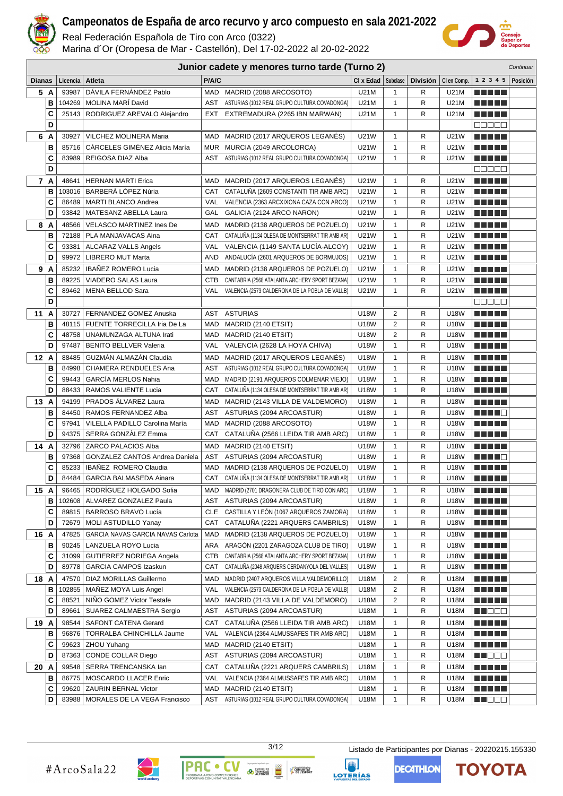

Real Federación Española de Tiro con Arco (0322)

Marina d´Or (Oropesa de Mar - Castellón), Del 17-02-2022 al 20-02-2022



| Junior cadete y menores turno tarde (Turno 2)<br>Continuar |        |                 |                                                                |                   |                                                                                         |                              |                              |                 |              |                                        |          |
|------------------------------------------------------------|--------|-----------------|----------------------------------------------------------------|-------------------|-----------------------------------------------------------------------------------------|------------------------------|------------------------------|-----------------|--------------|----------------------------------------|----------|
| <b>Dianas</b>                                              |        | Licencia        | Atleta                                                         | P/A/C             |                                                                                         | $Cl x$ Edad $\vert$ Subclase |                              | <b>División</b> | CI en Comp.  | 1 2 3 4 5                              | Posición |
| 5 A                                                        |        | 93987           | DÁVILA FERNÁNDEZ Pablo                                         |                   | MAD MADRID (2088 ARCOSOTO)                                                              | U21M                         | $\mathbf{1}$                 | R               | U21M         |                                        |          |
|                                                            | В      | 104269          | <b>MOLINA MARI David</b>                                       | AST               | ASTURIAS (1012 REAL GRUPO CULTURA COVADONGA)                                            | U21M                         | 1                            | R               | U21M         |                                        |          |
|                                                            | C      | 25143           | RODRIGUEZ AREVALO Alejandro                                    | EXT               | EXTREMADURA (2265 IBN MARWAN)                                                           | U21M                         | $\mathbf{1}$                 | R               | U21M         | n di Titolo                            |          |
|                                                            | D      |                 |                                                                |                   |                                                                                         |                              |                              |                 |              | 88888                                  |          |
| 6 A                                                        |        | 30927           | VILCHEZ MOLINERA Maria                                         | MAD               | MADRID (2017 ARQUEROS LEGANÉS)                                                          | U21W                         | $\mathbf{1}$                 | R               | U21W         | n na m                                 |          |
|                                                            | в      | 85716           | CÁRCELES GIMÉNEZ Alicia María                                  | MUR               | MURCIA (2049 ARCOLORCA)                                                                 | U21W                         | $\mathbf{1}$                 | R               | U21W         | .                                      |          |
|                                                            | C      | 83989           | REIGOSA DIAZ Alba                                              | AST               | ASTURIAS (1012 REAL GRUPO CULTURA COVADONGA)                                            | U21W                         | 1                            | R               | U21W         |                                        |          |
|                                                            | D      |                 |                                                                |                   |                                                                                         |                              |                              |                 |              | Maaaa                                  |          |
| 7 A                                                        |        | 48641           | <b>HERNAN MARTI Erica</b>                                      | MAD               | MADRID (2017 ARQUEROS LEGANES)                                                          | U21W                         | 1                            | R               | U21W         | M M M M                                |          |
|                                                            | в      | 103016          | BARBERÀ LÓPEZ Núria                                            | CAT               | CATALUÑA (2609 CONSTANTI TIR AMB ARC)                                                   | U21W                         | 1                            | R               | U21W         | n di Titolo                            |          |
|                                                            | C      | 86489           | <b>MARTI BLANCO Andrea</b>                                     | VAL               | VALENCIA (2363 ARCXIXONA CAZA CON ARCO)                                                 | U21W                         | 1                            | R               | U21W         | e e e e e                              |          |
|                                                            | D      | 93842           | MATESANZ ABELLA Laura                                          | GAL               | GALICIA (2124 ARCO NARON)                                                               | U21W                         | $\mathbf{1}$                 | R               | U21W         | <u> Literatur</u>                      |          |
| 8 A                                                        |        | 48566           | VELASCO MARTINEZ Ines De                                       | MAD               | MADRID (2138 ARQUEROS DE POZUELO)                                                       | U21W                         | 1                            | R               | U21W         | e e e e e                              |          |
|                                                            | в      | 72188           | PLA MANJAVACAS Aina                                            | CAT               | CATALUÑA (1134 OLESA DE MONTSERRAT TIR AMB AR)                                          | U21W                         | $\mathbf{1}$                 | R               | U21W         | MA MARI                                |          |
|                                                            | C      | 93381           | ALCARAZ VALLS Angels                                           | VAL               | VALENCIA (1149 SANTA LUCÍA-ALCOY)                                                       | U21W                         | $\mathbf{1}$                 | R               | <b>U21W</b>  | TI TITLE                               |          |
|                                                            | D      | 99972           | <b>LIBRERO MUT Marta</b>                                       | AND               | ANDALUCÍA (2601 ARQUEROS DE BORMUJOS)                                                   | U21W                         | 1                            | R               | U21W         | MA MARI                                |          |
| 9 A                                                        |        | 85232           | <b>IBAÑEZ ROMERO Lucia</b>                                     | MAD               | MADRID (2138 ARQUEROS DE POZUELO)                                                       | U21W                         | 1                            | R               | U21W         | n di Titolo                            |          |
|                                                            | В      | 89225           | VIADERO SALAS Laura                                            | <b>CTB</b>        | CANTABRIA (2568 ATALANTA ARCHERY SPORT BEZANA)                                          | U21W                         | $\mathbf{1}$                 | R               | U21W         | MA MARI                                |          |
|                                                            | C      | 89462           | MENA BELLOD Sara                                               | VAL               | VALENCIA (2573 CALDERONA DE LA POBLA DE VALLB)                                          | U21W                         | $\mathbf{1}$                 | R               | U21W         | ma matsa                               |          |
|                                                            | D      |                 |                                                                |                   |                                                                                         |                              |                              |                 |              | 88888                                  |          |
| 11 A                                                       |        | 30727           | FERNANDEZ GOMEZ Anuska                                         | AST               | <b>ASTURIAS</b>                                                                         | U18W                         | 2                            | R               | U18W         | MA MP U                                |          |
|                                                            | В      | 48115           | FUENTE TORRECILLA Iria De La                                   | MAD               | MADRID (2140 ETSIT)                                                                     | U18W                         | $\overline{2}$               | R               | U18W         | ma matsa                               |          |
|                                                            | C      | 48758           | UNAMUNZAGA ALTUNA Irati                                        | MAD               | MADRID (2140 ETSIT)                                                                     | U18W                         | $\overline{2}$               | R               | U18W         | <u> El El E</u> l                      |          |
|                                                            | D      | 97487           | <b>BENITO BELLVER Valeria</b>                                  | VAL               | VALENCIA (2628 LA HOYA CHIVA)                                                           | U18W                         | $\mathbf{1}$                 | R               | U18W         | ma matsa                               |          |
| 12A                                                        |        | 88485           | GUZMÁN ALMAZÁN Claudia                                         | <b>MAD</b>        | MADRID (2017 ARQUEROS LEGANÉS)                                                          | U18W                         | $\mathbf{1}$                 | R               | U18W         | n din bir                              |          |
|                                                            | В      | 84998           | CHAMERA RENDUELES Ana                                          | AST               | ASTURIAS (1012 REAL GRUPO CULTURA COVADONGA)                                            | <b>U18W</b>                  | $\mathbf{1}$                 | R               | U18W         | n di Titolo                            |          |
|                                                            | C      | 99443           | <b>GARCÍA MERLOS Nahia</b>                                     | MAD               | MADRID (2191 ARQUEROS COLMENAR VIEJO)                                                   | <b>U18W</b>                  | 1                            | R               | U18W         |                                        |          |
|                                                            | D      | 88433           | RAMOS VALIENTE Lucia                                           | CAT               | CATALUNA (1134 OLESA DE MONTSERRAT TIR AMB AR)                                          | U18W                         | $\mathbf{1}$                 | R               | U18W         | n di Titolo                            |          |
| 13 A                                                       |        | 94199           | PRADOS ÁLVAREZ Laura                                           | <b>MAD</b>        | MADRID (2143 VILLA DE VALDEMORO)                                                        | <b>U18W</b>                  | 1                            | R               | <b>U18W</b>  | n di Titolo                            |          |
|                                                            | В      | 84450           | RAMOS FERNANDEZ Alba                                           | AST               | ASTURIAS (2094 ARCOASTUR)                                                               | U18W                         | 1                            | R               | U18W         | ma mata                                |          |
|                                                            | C      | 97941           | VILELLA PADILLO Carolina María                                 | MAD               | MADRID (2088 ARCOSOTO)                                                                  | U18W                         | 1                            | R               | U18W         | <u> Literatur</u>                      |          |
|                                                            | D      | 94375           | SERRA GONZALEZ Emma                                            | CAT               | CATALUÑA (2566 LLEIDA TIR AMB ARC)                                                      | U18W                         | $\mathbf{1}$                 | R               | U18W         | ma matsa                               |          |
| 14                                                         | A      | 32796           | ZARCO PALACIOS Alba                                            | MAD               | MADRID (2140 ETSIT)                                                                     | U18W                         | 1                            | R               | U18W         | <u> El El El E</u>                     |          |
|                                                            | в      | 97368           | <b>GONZALEZ CANTOS Andrea Daniela</b>                          | <b>AST</b>        | ASTURIAS (2094 ARCOASTUR)                                                               | U18W                         | $\mathbf{1}$                 | R               | U18W         | HH H E                                 |          |
|                                                            | C<br>D | 85233<br>84484  | <b>IBAÑEZ ROMERO Claudia</b><br><b>GARCIA BALMASEDA Ainara</b> | MAD               | MADRID (2138 ARQUEROS DE POZUELO)<br>CAT CATALUÑA (1134 OLESA DE MONTSERRAT TIR AMB AR) | <b>U18W</b><br>U18W          | $\mathbf{1}$<br>$\mathbf{1}$ | R<br>R          | U18W<br>U18W |                                        |          |
|                                                            |        |                 |                                                                |                   |                                                                                         |                              |                              |                 |              | n di Titolo                            |          |
| 15 A                                                       |        |                 | 96465   RODRÍGUEZ HOLGADO Sofia                                |                   | MAD MADRID (2701 DRAGONERA CLUB DE TIRO CON ARC)                                        | U18W                         | 1                            | R               | U18W         | <u> Literatur</u>                      |          |
|                                                            | в<br>C | 102608<br>89815 | ALVAREZ GONZALEZ Paula<br><b>BARROSO BRAVO Lucía</b>           | AST<br><b>CLE</b> | ASTURIAS (2094 ARCOASTUR)<br>CASTILLA Y LEÓN (1067 ARQUEROS ZAMORA)                     | U18W<br>U18W                 | 1<br>$\mathbf{1}$            | R<br>R          | U18W<br>U18W | <u> Literatur</u><br><u> Literatur</u> |          |
|                                                            | D      | 72679           | <b>MOLI ASTUDILLO Yanay</b>                                    | CAT               | CATALUÑA (2221 ARQUERS CAMBRILS)                                                        | U18W                         | 1                            | R               | U18W         | <u> Listo Lit</u>                      |          |
|                                                            |        | 47825           | GARCIA NAVAS GARCIA NAVAS Carlota                              | MAD               | MADRID (2138 ARQUEROS DE POZUELO)                                                       | U18W                         | 1                            | R               | U18W         | n ni ni n                              |          |
| 16 A                                                       | в      | 90245           | LANZUELA ROYO Lucia                                            | <b>ARA</b>        | ARAGÓN (2201 ZARAGOZA CLUB DE TIRO)                                                     | U18W                         | $\mathbf{1}$                 | R               | U18W         | e de la politik                        |          |
|                                                            | C      | 31099           | GUTIERREZ NORIEGA Angela                                       | CTB               | CANTABRIA (2568 ATALANTA ARCHERY SPORT BEZANA)                                          | U18W                         | $\mathbf{1}$                 | R               | U18W         | <u> Literatur</u>                      |          |
|                                                            | D      | 89778           | GARCIA CAMPOS Izaskun                                          | CAT               | CATALUNA (2048 ARQUERS CERDANYOLA DEL VALLES)                                           | U18W                         | $\mathbf{1}$                 | R               | U18W         | <u> Literatur</u>                      |          |
| 18 A                                                       |        | 47570           | DIAZ MORILLAS Guillermo                                        | MAD               | MADRID (2407 ARQUEROS VILLA VALDEMORILLO)                                               | U18M                         | 2                            | R               | U18M         | N N N N N                              |          |
|                                                            | В      | 102855          | MANEZ MOYA Luis Angel                                          | VAL               | VALENCIA (2573 CALDERONA DE LA POBLA DE VALLB)                                          | U18M                         | 2                            | R               | U18M         | <u> Literatur</u>                      |          |
|                                                            | C      | 88521           | NIÑO GOMEZ Victor Testafe                                      | MAD               | MADRID (2143 VILLA DE VALDEMORO)                                                        | U18M                         | 2                            | R               | U18M         | <u> Literatur</u>                      |          |
|                                                            | D      | 89661           | SUAREZ CALMAESTRA Sergio                                       | AST               | ASTURIAS (2094 ARCOASTUR)                                                               | U18M                         | $\mathbf{1}$                 | R               | U18M         | <u> Literatu</u>                       |          |
| 19 A                                                       |        | 98544           | <b>SAFONT CATENA Gerard</b>                                    | CAT               | CATALUÑA (2566 LLEIDA TIR AMB ARC)                                                      | U18M                         | 1                            | R               | U18M         | <u> Listo Lit</u>                      |          |
|                                                            | в      | 96876           | TORRALBA CHINCHILLA Jaume                                      | VAL               | VALENCIA (2364 ALMUSSAFES TIR AMB ARC)                                                  | U18M                         | 1                            | R               | U18M         | <u> Listo Lit</u>                      |          |
|                                                            | C      | 99623           | ZHOU Yuhang                                                    | MAD               | MADRID (2140 ETSIT)                                                                     | U18M                         | 1                            | R               | U18M         | <u> Listo Lit</u>                      |          |
|                                                            | D      | 87363           | CONDE COLLAR Diego                                             | AST               | ASTURIAS (2094 ARCOASTUR)                                                               | U18M                         | $\mathbf{1}$                 | R               | U18M         | <u> Literatu</u>                       |          |
| 20 A                                                       |        | 99548           | SERRA TRENCANSKA lan                                           | CAT               | CATALUÑA (2221 ARQUERS CAMBRILS)                                                        | U18M                         | 1                            | R               | U18M         | N E HE H                               |          |
|                                                            | в      | 86775           | MOSCARDO LLACER Enric                                          | VAL               | VALENCIA (2364 ALMUSSAFES TIR AMB ARC)                                                  | U18M                         | 1                            | R               | U18M         | <u> Literatur</u>                      |          |
|                                                            | C      |                 | 99620   ZAURIN BERNAL Victor                                   |                   | MAD MADRID (2140 ETSIT)                                                                 | U18M                         | $\mathbf{1}$                 | R               | U18M         | <u> El Biblio</u>                      |          |
|                                                            | D      | 83988           | MORALES DE LA VEGA Francisco                                   | AST               | ASTURIAS (1012 REAL GRUPO CULTURA COVADONGA)                                            | U18M                         | $\mathbf{1}$                 | R               | U18M         | <b>RECOR</b>                           |          |



**PAC** 

 $\bullet$ 

3/12 Listado de Participantes por Dianas - 20220215.155330

**EXERCISE DE TRINIDAD** 

COMUNITAT

LOTERÍAS



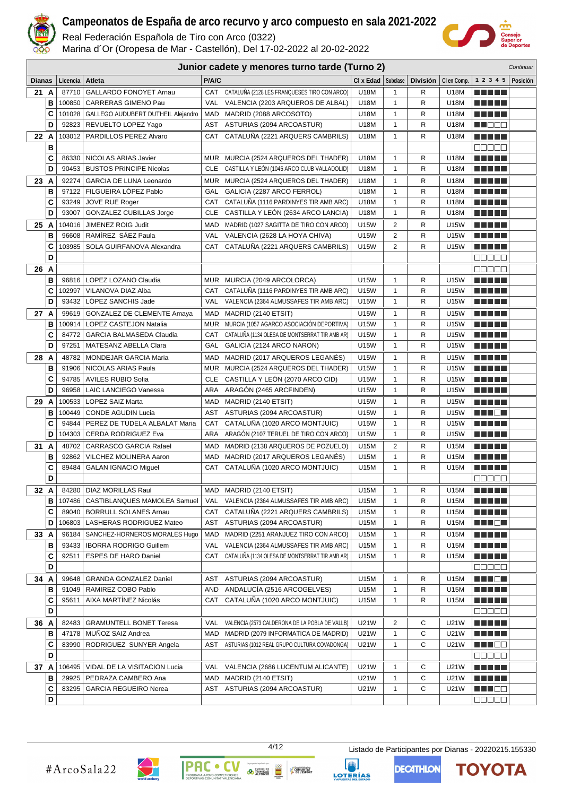

Real Federación Española de Tiro con Arco (0322)

Marina d´Or (Oropesa de Mar - Castellón), Del 17-02-2022 al 20-02-2022



| Junior cadete y menores turno tarde (Turno 2)<br>Continuar |   |          |                                    |            |                                                |                      |                   |                 |             |                                                                                                                       |          |
|------------------------------------------------------------|---|----------|------------------------------------|------------|------------------------------------------------|----------------------|-------------------|-----------------|-------------|-----------------------------------------------------------------------------------------------------------------------|----------|
| <b>Dianas</b>                                              |   | Licencia | Atleta                             | P/A/C      |                                                | CI x Edad   Subclase |                   | <b>División</b> | CI en Comp. | 1 2 3 4 5                                                                                                             | Posición |
| 21A                                                        |   | 87710    | <b>GALLARDO FONOYET Arnau</b>      | CAT        | CATALUÑA (2128 LES FRANQUESES TIRO CON ARCO)   | U18M                 | $\mathbf{1}$      | R               | U18M        | .                                                                                                                     |          |
|                                                            | в | 100850   | CARRERAS GIMENO Pau                | <b>VAL</b> | VALENCIA (2203 ARQUEROS DE ALBAL)              | U18M                 | $\mathbf{1}$      | R               | U18M        | a shekara                                                                                                             |          |
|                                                            | C | 101028   | GALLEGO AUDUBERT DUTHEIL Alejandro | MAD        | MADRID (2088 ARCOSOTO)                         | U18M                 | $\mathbf{1}$      | R               | U18M        | a shekara                                                                                                             |          |
|                                                            | D | 92823    | REVUELTO LOPEZ Yago                | AST        | ASTURIAS (2094 ARCOASTUR)                      | U18M                 | 1                 | R               | U18M        | MN 888                                                                                                                |          |
| 22 A                                                       |   | 103012   | PARDILLOS PEREZ Alvaro             | CAT        | CATALUÑA (2221 ARQUERS CAMBRILS)               | U18M                 | 1                 | R               | U18M        | n din bin                                                                                                             |          |
|                                                            | B |          |                                    |            |                                                |                      |                   |                 |             | <b>REBER</b>                                                                                                          |          |
|                                                            | C | 86330    | NICOLAS ARIAS Javier               | <b>MUR</b> | MURCIA (2524 ARQUEROS DEL THADER)              | U18M                 | 1                 | R               | U18M        | MUNICIP                                                                                                               |          |
|                                                            | D | 90453    | <b>BUSTOS PRINCIPE Nicolas</b>     | <b>CLE</b> | CASTILLA Y LEON (1046 ARCO CLUB VALLADOLID)    | U18M                 | 1                 | R               | U18M        | .                                                                                                                     |          |
| 23 A                                                       |   | 92274    | <b>GARCIA DE LUNA Leonardo</b>     | MUR        | MURCIA (2524 ARQUEROS DEL THADER)              | U18M                 | $\mathbf{1}$      | R               | U18M        | MA TITU                                                                                                               |          |
|                                                            | B | 97122    | FILGUEIRA LÓPEZ Pablo              | GAL        | GALICIA (2287 ARCO FERROL)                     | U18M                 | $\mathbf{1}$      | R               | U18M        | MA TITLE                                                                                                              |          |
|                                                            | C | 93249    | <b>JOVE RUE Roger</b>              | CAT        | CATALUÑA (1116 PARDINYES TIR AMB ARC)          | U18M                 | $\mathbf{1}$      | R               | U18M        | <u> Literatur</u>                                                                                                     |          |
|                                                            | D | 93007    | <b>GONZALEZ CUBILLAS Jorge</b>     | <b>CLE</b> | CASTILLA Y LEÓN (2634 ARCO LANCIA)             | U18M                 | $\mathbf{1}$      | R               | U18M        | MA MBE                                                                                                                |          |
| 25 A                                                       |   | 104016   | JIMENEZ ROIG Judit                 | MAD        | MADRID (1027 SAGITTA DE TIRO CON ARCO)         | U15W                 | 2                 | R               | U15W        | m in Tiple                                                                                                            |          |
|                                                            | B | 96608    | RAMÍREZ SÁEZ Paula                 | VAL        | VALENCIA (2628 LA HOYA CHIVA)                  | U15W                 | $\overline{c}$    | R               | U15W        |                                                                                                                       |          |
|                                                            | C | 103985   | SOLA GUIRFANOVA Alexandra          |            | CAT CATALUÑA (2221 ARQUERS CAMBRILS)           | <b>U15W</b>          | 2                 | R               | <b>U15W</b> | n na mats                                                                                                             |          |
|                                                            | D |          |                                    |            |                                                |                      |                   |                 |             | an da a                                                                                                               |          |
| 26 A                                                       |   |          |                                    |            |                                                |                      |                   |                 |             | <u>www a s</u>                                                                                                        |          |
|                                                            | B | 96816    | LOPEZ LOZANO Claudia               | <b>MUR</b> | MURCIA (2049 ARCOLORCA)                        | U15W                 | $\mathbf{1}$      | R               | <b>U15W</b> | a shekara                                                                                                             |          |
|                                                            | C | 102997   | VILANOVA DIAZ Alba                 | CAT        | CATALUÑA (1116 PARDINYES TIR AMB ARC)          | <b>U15W</b>          | $\mathbf{1}$      | R               | U15W        | a shekara                                                                                                             |          |
|                                                            | D | 93432    | LOPEZ SANCHIS Jade                 | VAL        | VALENCIA (2364 ALMUSSAFES TIR AMB ARC)         | U15W                 | $\mathbf{1}$      | R               | U15W        | n di Titolo                                                                                                           |          |
| 27 A                                                       |   | 99619    | GONZALEZ DE CLEMENTE Amaya         | MAD        | MADRID (2140 ETSIT)                            | U15W                 | $\mathbf{1}$      | R               | U15W        | MA MAT                                                                                                                |          |
|                                                            | B | 100914   | <b>LOPEZ CASTEJON Natalia</b>      | <b>MUR</b> | MURCIA (1057 AGARCO ASOCIACIÓN DEPORTIVA)      | U15W                 | $\mathbf{1}$      | R               | <b>U15W</b> | <u>manas</u>                                                                                                          |          |
|                                                            | C | 84772    | GARCIA BALMASEDA Claudia           | CAT        | CATALUÑA (1134 OLESA DE MONTSERRAT TIR AMB AR) | U15W                 | $\mathbf{1}$      | R               | U15W        | MA MAT                                                                                                                |          |
|                                                            | D | 97251    | MATESANZ ABELLA Clara              | GAL        | GALICIA (2124 ARCO NARON)                      | U15W                 | 1                 | R               | U15W        | a di sebagai pada salah sahiji dan sa                                                                                 |          |
| 28 A                                                       |   | 48782    | MONDEJAR GARCIA Maria              | <b>MAD</b> | MADRID (2017 ARQUEROS LEGANÉS)                 | <b>U15W</b>          | $\mathbf{1}$      | R               | U15W        | MA METAL                                                                                                              |          |
|                                                            | B | 91906    | NICOLAS ARIAS Paula                | <b>MUR</b> | MURCIA (2524 ARQUEROS DEL THADER)              | <b>U15W</b>          | 1                 | R               | <b>U15W</b> | a shekara                                                                                                             |          |
|                                                            | C | 94785    | <b>AVILES RUBIO Sofia</b>          | <b>CLE</b> | CASTILLA Y LEÓN (2070 ARCO CID)                | U15W                 | 1                 | R               | U15W        | <u> El Bratalho de la </u>                                                                                            |          |
|                                                            | D | 96958    | <b>LAIC LANCIEGO Vanessa</b>       | ARA        | ARAGON (2465 ARCFINDEN)                        | U15W                 | $\mathbf{1}$      | R               | U15W        | M SI SI SI S                                                                                                          |          |
| 29 A                                                       |   | 100533   | LOPEZ SAIZ Marta                   | MAD        | MADRID (2140 ETSIT)                            | U15W                 | 1                 | R               | <b>U15W</b> | MA MPL                                                                                                                |          |
|                                                            | B | 100449   | <b>CONDE AGUDIN Lucia</b>          | AST        | ASTURIAS (2094 ARCOASTUR)                      | U15W                 | $\mathbf{1}$      | R               | U15W        | MA TOL                                                                                                                |          |
|                                                            | C | 94844    | PEREZ DE TUDELA ALBALAT Maria      | CAT        | CATALUÑA (1020 ARCO MONTJUIC)                  | U15W                 | $\mathbf{1}$      | R               | U15W        | N N N D L                                                                                                             |          |
|                                                            | D | 104303   | <b>CERDA RODRIGUEZ Eva</b>         | ARA        | ARAGÓN (2107 TERUEL DE TIRO CON ARCO)          | U15W                 | $\mathbf{1}$      | R               | U15W        |                                                                                                                       |          |
| 31 A                                                       |   | 48702    | <b>CARRASCO GARCIA Rafael</b>      | MAD        | MADRID (2138 ARQUEROS DE POZUELO)              | U15M                 | 2                 | R               | U15M        | M M M M M                                                                                                             |          |
|                                                            | в | 92862    | VILCHEZ MOLINERA Aaron             | MAD        | MADRID (2017 ARQUEROS LEGANES)                 | U15M                 | $\mathbf{1}$      | R               | U15M        | N J D                                                                                                                 |          |
|                                                            | C | 89484    | <b>GALAN IGNACIO Miguel</b>        | CAT        | CATALUÑA (1020 ARCO MONTJUIC)                  | U15M                 | 1                 | R               | U15M        | M M M M M                                                                                                             |          |
|                                                            | D |          |                                    |            |                                                |                      |                   |                 |             | <b>REBER</b>                                                                                                          |          |
| 32 A                                                       |   | 84280    | DIAZ MORILLAS Raul                 |            | MAD MADRID (2140 ETSIT)                        | U15M                 | 1                 | R               | U15M        | n di Titolo                                                                                                           |          |
|                                                            | в | 107486   | CASTIBLANQUES MAMOLEA Samuel       | VAL        | VALENCIA (2364 ALMUSSAFES TIR AMB ARC)         | U15M                 | 1                 | R               | U15M        | M E E E E                                                                                                             |          |
|                                                            | C | 89040    | <b>BORRULL SOLANES Arnau</b>       | CAT        | CATALUÑA (2221 ARQUERS CAMBRILS)               | U15M                 | $\mathbf{1}$      | R               | U15M        | ME SE S                                                                                                               |          |
|                                                            | D | 106803   | LASHERAS RODRIGUEZ Mateo           | AST        | ASTURIAS (2094 ARCOASTUR)                      | U15M                 | $\mathbf{1}$      | R               | U15M        | MUNDER                                                                                                                |          |
| 33 A                                                       |   | 96184    | SANCHEZ-HORNEROS MORALES Hugo      | MAD        | MADRID (2251 ARANJUEZ TIRO CON ARCO)           | U15M                 | $\mathbf{1}$      | R               | U15M        | <u>man man</u>                                                                                                        |          |
|                                                            | в | 93433    | <b>IBORRA RODRIGO Guillem</b>      | VAL        | VALENCIA (2364 ALMUSSAFES TIR AMB ARC)         | U15M                 | $\mathbf{1}$      | R               | U15M        | MA MAR                                                                                                                |          |
|                                                            | C | 92511    | <b>ESPES DE HARO Daniel</b>        | CAT        | CATALUÑA (1134 OLESA DE MONTSERRAT TIR AMB AR) | U15M                 | $\mathbf{1}$      | R               | U15M        | <u> Literatura de la </u>                                                                                             |          |
|                                                            | D |          |                                    |            |                                                |                      |                   |                 |             | 88888                                                                                                                 |          |
| 34 A                                                       |   | 99648    | GRANDA GONZALEZ Daniel             | AST        | ASTURIAS (2094 ARCOASTUR)                      | U15M                 | 1                 | R               | U15M        | <u> Halifa</u>                                                                                                        |          |
|                                                            | в | 91049    | RAMIREZ COBO Pablo                 | AND        | ANDALUCÍA (2516 ARCOGELVES)                    | U15M                 | 1                 | R               | U15M        | <u> El Biblio</u>                                                                                                     |          |
|                                                            | C | 95611    | AIXA MARTÍNEZ Nicolás              |            | CAT CATALUÑA (1020 ARCO MONTJUIC)              | U15M                 | 1                 | R               | U15M        | <u> Literatur</u>                                                                                                     |          |
|                                                            | D |          |                                    |            |                                                |                      |                   |                 |             | <u>e Liberal </u>                                                                                                     |          |
| 36 A                                                       |   | 82483    | <b>GRAMUNTELL BONET Teresa</b>     | VAL        | VALENCIA (2573 CALDERONA DE LA POBLA DE VALLB) | U21W                 | 2                 | С               | U21W        | <u> Here i Her</u>                                                                                                    |          |
|                                                            | в | 47178    | MUÑOZ SAIZ Andrea                  | MAD        | MADRID (2079 INFORMATICA DE MADRID)            | U21W                 | 1                 | С               | U21W        | <u> Literatur</u>                                                                                                     |          |
|                                                            | C | 83990    | RODRIGUEZ SUNYER Angela            | AST        | ASTURIAS (1012 REAL GRUPO CULTURA COVADONGA)   | U21W                 | $\mathbf{1}$      | С               | U21W        | <u> HILLEN</u>                                                                                                        |          |
|                                                            | D |          |                                    |            |                                                |                      |                   |                 |             | 00000                                                                                                                 |          |
| 37 A                                                       |   | 106495   | VIDAL DE LA VISITACION Lucia       | VAL        | VALENCIA (2686 LUCENTUM ALICANTE)              | U21W                 |                   | С               | U21W        | <u> Here i Her</u>                                                                                                    |          |
|                                                            | в | 29925    | PEDRAZA CAMBERO Ana                |            | MAD MADRID (2140 ETSIT)                        | U21W                 | 1<br>$\mathbf{1}$ | С               | U21W        | <u> Literatur</u>                                                                                                     |          |
|                                                            | C | 83295    | <b>GARCIA REGUEIRO Nerea</b>       |            | AST ASTURIAS (2094 ARCOASTUR)                  | U21W                 | 1                 | С               | U21W        | <u> Helena Santa Barat da Barat da Barat da Barat da Barat da Barat da Barat da Barat da Barat da Barat da Barat </u> |          |
|                                                            | D |          |                                    |            |                                                |                      |                   |                 |             | 00000                                                                                                                 |          |
|                                                            |   |          |                                    |            |                                                |                      |                   |                 |             |                                                                                                                       |          |



**O TRINIDAD** 

**PAC** 

 $\bullet$ 

COMUNITAT<br>
P DE L'ESPORT

**TOYOTA** 

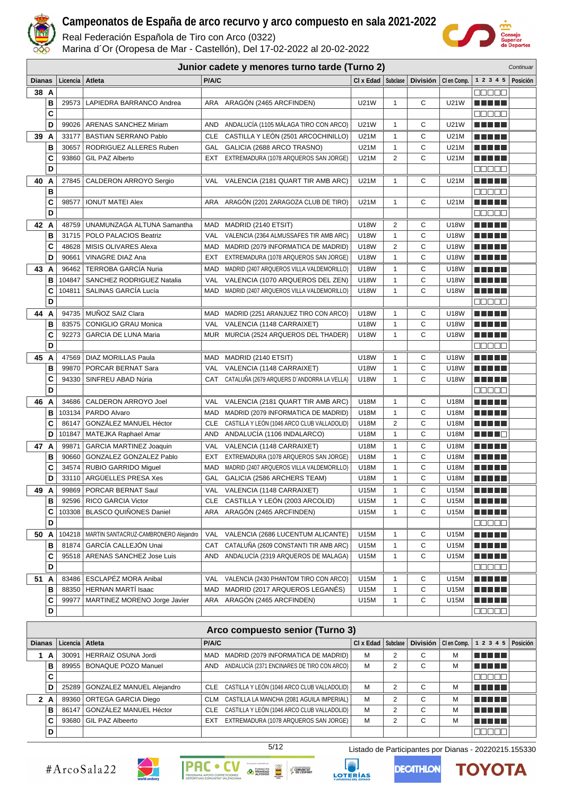

Real Federación Española de Tiro con Arco (0322)

Marina d´Or (Oropesa de Mar - Castellón), Del 17-02-2022 al 20-02-2022



|               |        |                   |                                                     |            | Junior cadete y menores turno tarde (Turno 2)                                    |                          |                              |                 |              |                                         | Continuar |
|---------------|--------|-------------------|-----------------------------------------------------|------------|----------------------------------------------------------------------------------|--------------------------|------------------------------|-----------------|--------------|-----------------------------------------|-----------|
| <b>Dianas</b> |        | Licencia   Atleta |                                                     | P/A/C      |                                                                                  | $Cl x$ Edad $ $ Subclase |                              | <b>División</b> | CI en Comp.  | 1 2 3 4 5                               | Posición  |
| 38 A          |        |                   |                                                     |            |                                                                                  |                          |                              |                 |              | n din din                               |           |
|               | в      | 29573             | LAPIEDRA BARRANCO Andrea                            | ARA        | ARAGÓN (2465 ARCFINDEN)                                                          | U21W                     | $\mathbf{1}$                 | C               | <b>U21W</b>  | <b>THEFT</b>                            |           |
|               | C      |                   |                                                     |            |                                                                                  |                          |                              |                 |              | 80000                                   |           |
|               | D      |                   | 99026   ARENAS SANCHEZ Miriam                       | AND        | ANDALUCÍA (1105 MÁLAGA TIRO CON ARCO)                                            | U21W                     | $\mathbf{1}$                 | С               | U21W         | <u> El Bibliotto de la Ba</u>           |           |
| 39 A          |        | 33177             | <b>BASTIAN SERRANO Pablo</b>                        | CLE        | CASTILLA Y LEÓN (2501 ARCOCHINILLO)                                              | U21M                     | 1                            | С               | U21M         | n din bir                               |           |
|               | B      | 30657             | RODRIGUEZ ALLERES Ruben                             |            | GAL GALICIA (2688 ARCO TRASNO)                                                   | U21M                     | 1                            | С               | U21M         | M M D D                                 |           |
|               | C      | 93860             | GIL PAZ Alberto                                     |            | EXT EXTREMADURA (1078 ARQUEROS SAN JORGE)                                        | U21M                     | 2                            | С               | U21M         | <u> El Biblio</u>                       |           |
|               | D      |                   |                                                     |            |                                                                                  |                          |                              |                 |              | 00000                                   |           |
| 40 A          |        | 27845             | CALDERON ARROYO Sergio                              | VAL        | VALENCIA (2181 QUART TIR AMB ARC)                                                | U21M                     | $\mathbf{1}$                 | С               | U21M         | n din Film                              |           |
|               | B      |                   |                                                     |            |                                                                                  |                          |                              |                 |              | ooooo                                   |           |
|               | C      | 98577             | <b>IONUT MATEI Alex</b>                             | ARA        | ARAGÓN (2201 ZARAGOZA CLUB DE TIRO)                                              | U21M                     | $\mathbf{1}$                 | C               | U21M         | MA TITLE                                |           |
|               | D      |                   |                                                     |            |                                                                                  |                          |                              |                 |              | Maaaa                                   |           |
| 42 A          |        | 48759             | UNAMUNZAGA ALTUNA Samantha                          |            | MAD MADRID (2140 ETSIT)                                                          | U18W                     | 2                            | С               | <b>U18W</b>  | <b>RICH BILLIN</b>                      |           |
|               | B      | 31715             | POLO PALACIOS Beatriz                               |            | VAL VALENCIA (2364 ALMUSSAFES TIR AMB ARC)                                       | <b>U18W</b>              | $\mathbf{1}$                 | C               | <b>U18W</b>  | n di Hal                                |           |
|               | C      | 48628             | MISIS OLIVARES Alexa                                |            | MAD MADRID (2079 INFORMATICA DE MADRID)                                          | U18W                     | $\overline{2}$               | C               | U18W         | <b>RICH BILLIN</b>                      |           |
|               | D      | 90661             | VINAGRE DIAZ Ana                                    | EXT        | EXTREMADURA (1078 ARQUEROS SAN JORGE)                                            | U18W                     | $\mathbf{1}$                 | C               | U18W         | <b>THE REAL</b>                         |           |
| 43 A          |        | 96462             | <b>TERROBA GARCÍA Nuria</b>                         | MAD        | MADRID (2407 ARQUEROS VILLA VALDEMORILLO)                                        | U18W                     | 1                            | С               | <b>U18W</b>  | <b>RICH BILLIN</b>                      |           |
|               | в      | 104847            | SANCHEZ RODRIGUEZ Natalia                           | VAL        | VALENCIA (1070 ARQUEROS DEL ZEN)                                                 | <b>U18W</b>              | $\mathbf{1}$                 | C               | <b>U18W</b>  | n din Film                              |           |
|               | C      | 104811            | SALINAS GARCÍA Lucía                                | MAD        | MADRID (2407 ARQUEROS VILLA VALDEMORILLO)                                        | U18W                     | $\mathbf{1}$                 | С               | U18W         | MA MAR                                  |           |
|               | D      |                   |                                                     |            |                                                                                  |                          |                              |                 |              |                                         |           |
| 44            | A      | 94735             | MUÑOZ SAIZ Clara                                    | MAD        | MADRID (2251 ARANJUEZ TIRO CON ARCO)                                             | <b>U18W</b>              | $\mathbf{1}$                 | С               | <b>U18W</b>  | <b>RICH BILLIN</b>                      |           |
|               | в      | 83575             | <b>CONIGLIO GRAU Monica</b>                         | <b>VAL</b> | VALENCIA (1148 CARRAIXET)                                                        | <b>U18W</b>              | $\mathbf{1}$                 | C               | <b>U18W</b>  | n din ka                                |           |
|               | C      | 92273             | <b>GARCIA DE LUNA Maria</b>                         |            | MUR MURCIA (2524 ARQUEROS DEL THADER)                                            | <b>U18W</b>              | $\mathbf{1}$                 | C               | U18W         |                                         |           |
|               | D      |                   |                                                     |            |                                                                                  |                          |                              |                 |              | 00000                                   |           |
| 45 A          |        | 47569             | DIAZ MORILLAS Paula                                 |            | MAD MADRID (2140 ETSIT)                                                          | U18W                     | 1                            | С               | U18W         | n din Film                              |           |
|               | B      | 99870             | PORCAR BERNAT Sara                                  | VAL        | VALENCIA (1148 CARRAIXET)                                                        | U18W                     | 1                            | С               | U18W         |                                         |           |
|               | C      | 94330             | SINFREU ABAD Núria                                  | CAT        | CATALUNA (2679 ARQUERS D'ANDORRA LA VELLA)                                       | U18W                     | 1                            | C               | U18W         | <u> El Biblio</u>                       |           |
|               | D      |                   |                                                     |            |                                                                                  |                          |                              |                 |              | 80080                                   |           |
| 46 A          |        | 34686             | CALDERON ARROYO Joel                                | VAL        | VALENCIA (2181 QUART TIR AMB ARC)                                                | U18M                     | 1                            | С               | U18M         |                                         |           |
|               | в      | 103134            | PARDO Alvaro                                        |            | MAD MADRID (2079 INFORMATICA DE MADRID)                                          | U18M                     | $\mathbf{1}$                 | С               | U18M         |                                         |           |
|               | C      | 86147             | GONZÁLEZ MANUEL Héctor                              |            | CLE CASTILLA Y LEÓN (1046 ARCO CLUB VALLADOLID)                                  | U18M                     | $\overline{2}$               | C               | U18M         | <b>TERRITORIA</b>                       |           |
|               | D      | 101847            | MATEJKA Raphael Amar                                |            | AND ANDALUCÍA (1106 INDALARCO)                                                   | U18M                     | 1                            | C               | U18M         | <u> Herman Ba</u>                       |           |
| 47 A          |        | 99871             | <b>GARCIA MARTINEZ Joaquin</b>                      |            | VAL VALENCIA (1148 CARRAIXET)                                                    | U18M                     | 1                            | С               | U18M         | n din Film                              |           |
|               | в      | 90660             | GONZALEZ GONZALEZ Pablo                             |            | EXT EXTREMADURA (1078 ARQUEROS SAN JORGE)                                        | U18M                     | $\mathbf{1}$                 | C               | U18M         |                                         |           |
|               | C<br>D | 34574             | RUBIO GARRIDO Miguel<br>33110 ARGÜELLES PRESA Xes   |            | MAD MADRID (2407 ARQUEROS VILLA VALDEMORILLO)<br>GAL GALICIA (2586 ARCHERS TEAM) | U18M<br>U18M             | $\mathbf{1}$<br>$\mathbf{1}$ | C<br>C          | U18M<br>U18M | M M M M M                               |           |
|               |        |                   |                                                     |            |                                                                                  |                          |                              |                 |              | Martin Mar                              |           |
| 49 A          | в      | 99869             | PORCAR BERNAT Saul                                  | <b>CLE</b> | VAL VALENCIA (1148 CARRAIXET)<br>CASTILLA Y LEÓN (2003 ARCOLID)                  | U15M                     | 1                            | С<br>С          | U15M         | <u> El Ber</u>                          |           |
|               | С      | 92596<br>103308   | RICO GARCIA Victor<br><b>BLASCO QUIÑONES Daniel</b> | ARA        | ARAGÓN (2465 ARCFINDEN)                                                          | U15M<br>U15M             | 1<br>1                       | С               | U15M<br>U15M | <u> El El E</u> le<br><u> E E E E E</u> |           |
|               | D      |                   |                                                     |            |                                                                                  |                          |                              |                 |              |                                         |           |
| 50 A          |        |                   | 104218   MARTIN SANTACRUZ-CAMBRONERO Alejandro      | VAL        | VALENCIA (2686 LUCENTUM ALICANTE)                                                | U15M                     | 1                            | С               | U15M         | ME NE L                                 |           |
|               | в      | 81874             | GARCÍA CALLEJÓN Unai                                | CAT        | CATALUÑA (2609 CONSTANTI TIR AMB ARC)                                            | U15M                     | $\mathbf{1}$                 | С               | U15M         | n na mats                               |           |
|               | C      |                   | 95518   ARENAS SANCHEZ Jose Luis                    | AND        | ANDALUCÍA (2319 ARQUEROS DE MALAGA)                                              | U15M                     | 1                            | С               | U15M         | <u> Literatur</u>                       |           |
|               | D      |                   |                                                     |            |                                                                                  |                          |                              |                 |              | 00000                                   |           |
| 51 A          |        |                   | 83486   ESCLAPÉZ MORA Anibal                        | VAL        | VALENCIA (2430 PHANTOM TIRO CON ARCO)                                            | U15M                     | 1                            | С               | U15M         | <u> El Bratalho de la </u>              |           |
|               | В      | 88350             | <b>HERNAN MARTÍ Isaac</b>                           | MAD        | MADRID (2017 ARQUEROS LEGANÉS)                                                   | U15M                     | 1                            | С               | U15M         | <u> El El E</u> l                       |           |
|               | C      | 99977             | MARTINEZ MORENO Jorge Javier                        | ARA        | ARAGÓN (2465 ARCFINDEN)                                                          | U15M                     | 1                            | С               | U15M         | <u> Literatur</u>                       |           |
|               | D      |                   |                                                     |            |                                                                                  |                          |                              |                 |              | 88888                                   |           |
|               |        |                   |                                                     |            |                                                                                  |                          |                              |                 |              |                                         |           |

#### **Arco compuesto senior (Turno 3) Dianas Licencia Atleta P/A/C Cl x Edad Subclase División Cl en Comp. 1 2 3 4 5 Posición 1 A** 30091 HERRAIZ OSUNA Jordi MAD MADRID (2079 INFORMATICA DE MADRID) M 2 C M **REBEE B** 89955 BONAQUE POZO Manuel AND ANDALUCÍA (2371 ENCINARES DE TIRO CON ARCO) M 2 C M **NEBEL C**  $00000$ **D** 25289 GONZALEZ MANUEL Alejandro CLE CASTILLA Y LEÓN (1046 ARCO CLUB VALLADOLID) M 2 C M **REBEE 2 A** 89360 ORTEGA GARCIA Diego CLM CASTILLA LA MANCHA (2081 AGUILA IMPERIAL) M 2 C M e e e e e **B** 86147 GONZÁLEZ MANUEL Héctor CLE CASTILLA Y LEÓN (1046 ARCO CLUB VALLADOLID) M 2 C M **REBEE C** 93680 GIL PAZ Albeerto **EXT EXTREMADURA** (1078 ARQUEROS SAN JORGE) M 2 C M <u> E BEL</u> **D** 100000

#ArcoSala22







5/12 Listado de Participantes por Dianas - 20220215.155330

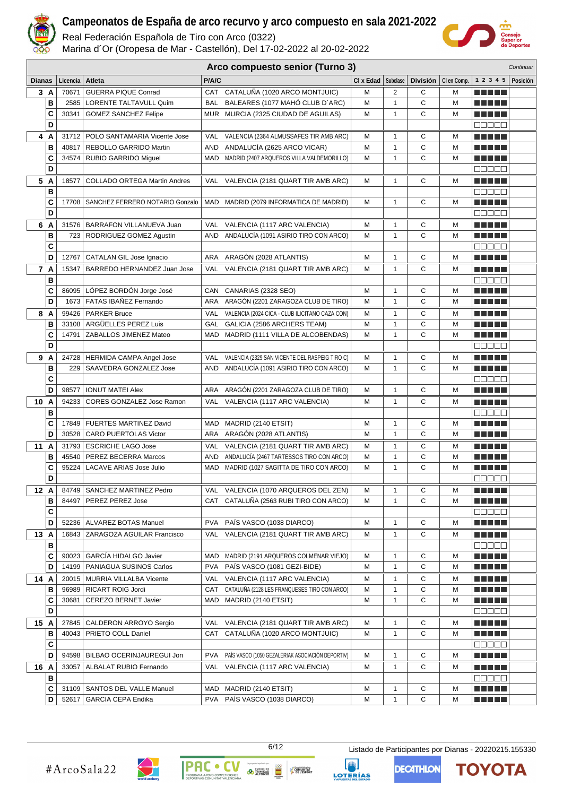

Real Federación Española de Tiro con Arco (0322)

Marina d´Or (Oropesa de Mar - Castellón), Del 17-02-2022 al 20-02-2022



| Arco compuesto senior (Turno 3)<br>Continuar |        |                   |                                                        |            |                                                  |           |              |                 |             |                        |  |
|----------------------------------------------|--------|-------------------|--------------------------------------------------------|------------|--------------------------------------------------|-----------|--------------|-----------------|-------------|------------------------|--|
| <b>Dianas</b>                                |        | Licencia   Atleta |                                                        | P/A/C      |                                                  | CI x Edad | Subclase     | <b>División</b> | CI en Comp. | 1 2 3 4 5 Posición     |  |
|                                              | 3 A    | 70671             | <b>GUERRA PIQUE Conrad</b>                             |            | CAT CATALUÑA (1020 ARCO MONTJUIC)                | м         | 2            | С               | м           | .                      |  |
|                                              | в      | 2585              | LORENTE TALTAVULL Quim                                 | <b>BAL</b> | BALEARES (1077 MAHÓ CLUB D'ARC)                  | M         | $\mathbf{1}$ | C               | M           |                        |  |
|                                              | C      | 30341             | <b>GOMEZ SANCHEZ Felipe</b>                            |            | MUR MURCIA (2325 CIUDAD DE AGUILAS)              | M         | $\mathbf{1}$ | C               | M           |                        |  |
|                                              | D      |                   |                                                        |            |                                                  |           |              |                 |             | Maaa a                 |  |
|                                              | 4 A    |                   | 31712   POLO SANTAMARIA Vicente Jose                   | VAL        | VALENCIA (2364 ALMUSSAFES TIR AMB ARC)           | м         | 1            | С               | м           | .                      |  |
|                                              | в      | 40817             | REBOLLO GARRIDO Martin                                 | AND        | ANDALUCÍA (2625 ARCO VICAR)                      | M         | $\mathbf{1}$ | C               | M           | .                      |  |
|                                              | C      |                   | 34574   RUBIO GARRIDO Miquel                           |            | MAD MADRID (2407 ARQUEROS VILLA VALDEMORILLO)    | M         | $\mathbf{1}$ | C               | M           |                        |  |
|                                              | D      |                   |                                                        |            |                                                  |           |              |                 |             | manaa                  |  |
|                                              | 5 A    | 18577             | <b>COLLADO ORTEGA Martin Andres</b>                    |            | VAL VALENCIA (2181 QUART TIR AMB ARC)            | м         | $\mathbf{1}$ | С               | M           | ma matsa               |  |
|                                              | в      |                   |                                                        |            |                                                  |           |              |                 |             | 88888                  |  |
|                                              | C      | 17708             | SANCHEZ FERRERO NOTARIO Gonzalo                        | MAD        | MADRID (2079 INFORMATICA DE MADRID)              | M         | $\mathbf{1}$ | C               | M           | n din bir              |  |
|                                              | D      |                   |                                                        |            |                                                  |           |              |                 |             | M M M M M              |  |
|                                              | 6 A    |                   | 31576   BARRAFON VILLANUEVA Juan                       | VAL        | VALENCIA (1117 ARC VALENCIA)                     | M         | $\mathbf{1}$ | С               | M           | <b>RICH BILLIN</b>     |  |
|                                              | B      |                   | 723   RODRIGUEZ GOMEZ Agustin                          | AND        | ANDALUCÍA (1091 ASIRIO TIRO CON ARCO)            | M         | $\mathbf{1}$ | C               | M           | <b>RICH BILLIN</b>     |  |
|                                              | C      |                   |                                                        |            |                                                  |           |              |                 |             | 88888                  |  |
|                                              | D      | 12767             | CATALAN GIL Jose Ignacio                               | ARA        | ARAGÓN (2028 ATLANTIS)                           | M         | $\mathbf{1}$ | С               | M           | a da da                |  |
|                                              | 7 A    | 15347             | BARREDO HERNANDEZ Juan Jose                            | VAL        | VALENCIA (2181 QUART TIR AMB ARC)                | м         | $\mathbf{1}$ | С               | M           | n din se               |  |
|                                              | B      |                   |                                                        |            |                                                  |           |              |                 |             | <b>00000</b>           |  |
|                                              | C      | 86095             | LÓPEZ BORDÓN Jorge José                                | CAN        | CANARIAS (2328 SEO)                              | м         | $\mathbf{1}$ | С               | м           | <u> Literatur</u>      |  |
|                                              | D      |                   | 1673   FATAS IBAÑEZ Fernando                           |            | ARA ARAGÓN (2201 ZARAGOZA CLUB DE TIRO)          | M         | $\mathbf{1}$ | C               | M           |                        |  |
| 8                                            | A      |                   | 99426   PARKER Bruce                                   | <b>VAL</b> | VALENCIA (2024 CICA - CLUB ILICITANO CAZA CON)   | м         | $\mathbf{1}$ | С               | M           | n di Titolo            |  |
|                                              | B      |                   | 33108 ARGÜELLES PEREZ Luis                             | GAL        | GALICIA (2586 ARCHERS TEAM)                      | M         | $\mathbf{1}$ | С               | M           |                        |  |
|                                              | C      | 14791             | ZABALLOS JIMENEZ Mateo                                 | MAD        | MADRID (1111 VILLA DE ALCOBENDAS)                | M         | $\mathbf{1}$ | C               | M           | ma matsa               |  |
|                                              | D      |                   |                                                        |            |                                                  |           |              |                 |             | anaa                   |  |
|                                              | 9 A    |                   | 24728   HERMIDA CAMPA Angel Jose                       | VAL        | VALENCIA (2329 SAN VICENTE DEL RASPEIG TIRO C)   | M         | 1            | С               | м           |                        |  |
|                                              | В      | 229               | SAAVEDRA GONZALEZ Jose                                 | AND        | ANDALUCIA (1091 ASIRIO TIRO CON ARCO)            | M         | $\mathbf{1}$ | C               | M           | ma matsa               |  |
|                                              | C      |                   |                                                        |            |                                                  |           |              |                 |             | ME E E E               |  |
|                                              | D      | 98577             | <b>IONUT MATEI Alex</b>                                | ARA        | ARAGÓN (2201 ZARAGOZA CLUB DE TIRO)              | м         | $\mathbf{1}$ | C               | м           | <u> Literatur</u>      |  |
| 10 A                                         |        | 94233             | <b>CORES GONZALEZ Jose Ramon</b>                       |            | VAL VALENCIA (1117 ARC VALENCIA)                 | м         | 1            | С               | м           | ma matsa               |  |
|                                              | B      |                   |                                                        |            |                                                  |           |              |                 |             | an a a a               |  |
|                                              | C      |                   | 17849   FUERTES MARTINEZ David                         | MAD        | MADRID (2140 ETSIT)                              | м         | $\mathbf{1}$ | C               | M           | <b>RICH BILLIN</b>     |  |
|                                              | D      | 30528             | CARO PUERTOLAS Victor                                  | ARA        | ARAGÓN (2028 ATLANTIS)                           | м         | $\mathbf{1}$ | C               | M           | <u> La La La</u>       |  |
| 11 A                                         |        |                   | 31793   ESCRICHE LAGO Jose                             | VAL        | VALENCIA (2181 QUART TIR AMB ARC)                | М         | $\mathbf{1}$ | С               | M           | M M M M M              |  |
|                                              | в      | 45540<br>95224    | PEREZ BECERRA Marcos<br><b>LACAVE ARIAS Jose Julio</b> | AND        | ANDALUCÍA (2467 TARTESSOS TIRO CON ARCO)         | M<br>M    | $\mathbf{1}$ | C<br>С          | M<br>M      | M M M M M<br>n din bin |  |
|                                              | C<br>D |                   |                                                        | MAD        | MADRID (1027 SAGITTA DE TIRO CON ARCO)           |           | $\mathbf{1}$ |                 |             | ana an                 |  |
|                                              |        |                   |                                                        |            |                                                  |           |              |                 |             |                        |  |
| 12 A                                         |        |                   | 84749   SANCHEZ MARTINEZ Pedro                         |            | VAL VALENCIA (1070 ARQUEROS DEL ZEN)             | М         | 1            | С               | M           | <u> Heleta </u>        |  |
|                                              | в<br>C | 84497             | PEREZ PEREZ Jose                                       | CAT        | CATALUÑA (2563 RUBI TIRO CON ARCO)               | М         | $\mathbf{1}$ | С               | M           | Maaaa                  |  |
|                                              | D      |                   | 52236   ALVAREZ BOTAS Manuel                           | <b>PVA</b> | PAÍS VASCO (1038 DIARCO)                         | M         | $\mathbf{1}$ | С               | M           | MA MARIT               |  |
| 13 A                                         |        |                   | 16843   ZARAGOZA AGUILAR Francisco                     | VAL        | VALENCIA (2181 QUART TIR AMB ARC)                | м         | $\mathbf{1}$ | С               | M           |                        |  |
|                                              | в      |                   |                                                        |            |                                                  |           |              |                 |             | 88888                  |  |
|                                              | C      | 90023             | GARCÍA HIDALGO Javier                                  | MAD        | MADRID (2191 ARQUEROS COLMENAR VIEJO)            | м         | 1            | С               | м           | <u> Literatur</u>      |  |
|                                              | D      | 14199             | PANIAGUA SUSINOS Carlos                                |            | PVA PAÍS VASCO (1081 GEZI-BIDE)                  | M         | $\mathbf{1}$ | С               | M           | N E E E E              |  |
| 14 A                                         |        |                   | 20015   MURRIA VILLALBA Vicente                        | VAL        | VALENCIA (1117 ARC VALENCIA)                     | M         | 1            | С               | M           | N E HELL               |  |
|                                              | в      | 96989             | RICART ROIG Jordi                                      |            | CAT CATALUÑA (2128 LES FRANQUESES TIRO CON ARCO) | M         | $\mathbf{1}$ | С               | M           | <u> Literatur</u>      |  |
|                                              | C      | 30681             | CEREZO BERNET Javier                                   |            | MAD MADRID (2140 ETSIT)                          | M         | $\mathbf{1}$ | C               | M           | N E N E N              |  |
|                                              | D      |                   |                                                        |            |                                                  |           |              |                 |             | MNA MA                 |  |
| 15 A                                         |        |                   | 27845   CALDERON ARROYO Sergio                         | VAL        | VALENCIA (2181 QUART TIR AMB ARC)                | м         | 1            | С               | м           | <u> Literatur</u>      |  |
|                                              | в      | 40043             | PRIETO COLL Daniel                                     |            | CAT CATALUÑA (1020 ARCO MONTJUIC)                | М         | $\mathbf{1}$ | C               | M           |                        |  |
|                                              | C      |                   |                                                        |            |                                                  |           |              |                 |             | Maaaa                  |  |
|                                              | D      |                   | 94598   BILBAO OCERINJAUREGUI Jon                      | <b>PVA</b> | PAÍS VASCO (1050 GEZALERIAK ASOCIACIÓN DEPORTIV) | М         | $\mathbf{1}$ | C               | M           | <u> Listo de la </u>   |  |
| 16 A                                         |        | 33057             | ALBALAT RUBIO Fernando                                 | VAL        | VALENCIA (1117 ARC VALENCIA)                     | М         | $\mathbf{1}$ | С               | M           | a da da                |  |
|                                              | в      |                   |                                                        |            |                                                  |           |              |                 |             | MNA A A                |  |
|                                              | С      |                   | 31109   SANTOS DEL VALLE Manuel                        | MAD        | MADRID (2140 ETSIT)                              | М         | $\mathbf{1}$ | С               | M           | ME DE L                |  |
|                                              | D      |                   | 52617 GARCIA CEPA Endika                               |            | PVA PAÍS VASCO (1038 DIARCO)                     | М         | $\mathbf{1}$ | С               | M           | <u> Literatur</u>      |  |



**PAC** 

 $\bullet$ 

**EXERCISE DE TRINIDAD** 

COMUNITAT<br>
P DE L'ESPORT

LOTERÍAS

6/12 Listado de Participantes por Dianas - 20220215.155330

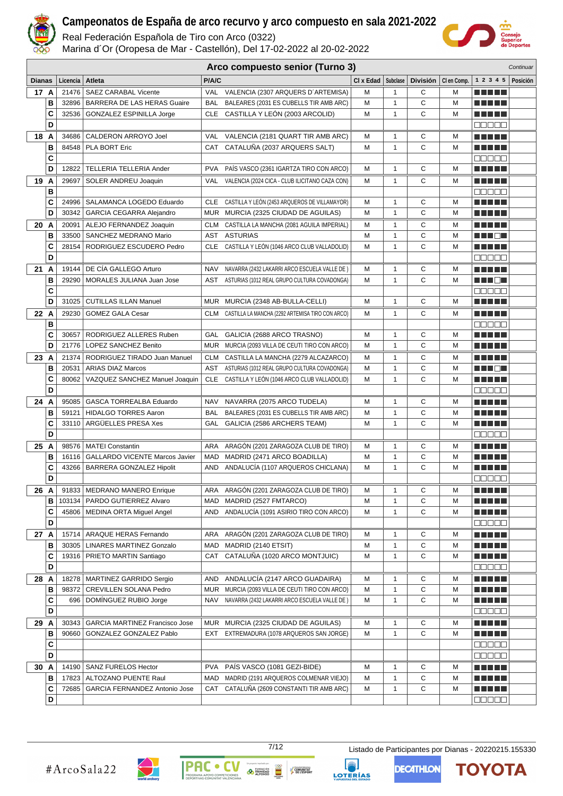

Real Federación Española de Tiro con Arco (0322)

Marina d´Or (Oropesa de Mar - Castellón), Del 17-02-2022 al 20-02-2022



|               |              |                   |                                        |            | Arco compuesto senior (Turno 3)                      |                      |              |   |                       |                            | Continuar |
|---------------|--------------|-------------------|----------------------------------------|------------|------------------------------------------------------|----------------------|--------------|---|-----------------------|----------------------------|-----------|
| <b>Dianas</b> |              | Licencia   Atleta |                                        | P/A/C      |                                                      | CI x Edad   Subclase |              |   | División   Clen Comp. | 1 2 3 4 5                  | Posición  |
| 17 A          |              | 21476             | <b>SAEZ CARABAL Vicente</b>            |            | VAL VALENCIA (2307 ARQUERS D'ARTEMISA)               | м                    | $\mathbf{1}$ | C | M                     | <b>RICH BILLIN</b>         |           |
|               | в            |                   | 32896   BARRERA DE LAS HERAS Guaire    | <b>BAL</b> | BALEARES (2031 ES CUBELLS TIR AMB ARC)               | M                    | $\mathbf{1}$ | С | M                     | <u> Literatur</u>          |           |
|               | C            |                   | 32536 GONZALEZ ESPINILLA Jorge         |            | CLE CASTILLA Y LEÓN (2003 ARCOLID)                   | М                    | $\mathbf{1}$ | C | M                     | a da da b                  |           |
|               | D            |                   |                                        |            |                                                      |                      |              |   |                       | 8000a                      |           |
| 18 A          |              |                   | 34686   CALDERON ARROYO Joel           | <b>VAL</b> | VALENCIA (2181 QUART TIR AMB ARC)                    | М                    | $\mathbf{1}$ | С | M                     | <b>RICH BILLIN</b>         |           |
|               | B            |                   | 84548   PLA BORT Eric                  | CAT        | CATALUÑA (2037 ARQUERS SALT)                         | М                    | $\mathbf{1}$ | C | M                     | MA MARI                    |           |
|               | C            |                   |                                        |            |                                                      |                      |              |   |                       | an da a                    |           |
|               | D            | 12822             | TELLERIA TELLERIA Ander                | <b>PVA</b> | PAÍS VASCO (2361 IGARTZA TIRO CON ARCO)              | М                    | $\mathbf{1}$ | C | M                     | .                          |           |
| 19 A          |              | 29697             | SOLER ANDREU Joaquin                   | VAL        | VALENCIA (2024 CICA - CLUB ILICITANO CAZA CON)       | м                    | $\mathbf{1}$ | С | М                     | MA MARI                    |           |
|               | $\, {\bf B}$ |                   |                                        |            |                                                      |                      |              |   |                       | 00000                      |           |
|               | C            |                   | 24996   SALAMANCA LOGEDO Eduardo       | <b>CLE</b> | CASTILLA Y LEÓN (2453 ARQUEROS DE VILLAMAYOR)        | M                    | $\mathbf{1}$ | С | M                     |                            |           |
|               | D            |                   | 30342   GARCIA CEGARRA Alejandro       |            | MUR MURCIA (2325 CIUDAD DE AGUILAS)                  | M                    | $\mathbf{1}$ | C | M                     | <b>RICH BILLIN</b>         |           |
| 20 A          |              |                   | 20091   ALEJO FERNANDEZ Joaquin        |            | CLM CASTILLA LA MANCHA (2081 AGUILA IMPERIAL)        | M                    | $\mathbf{1}$ | С | M                     | n din bir                  |           |
|               | B            |                   | 33500   SANCHEZ MEDRANO Mario          |            | AST ASTURIAS                                         | M                    | $\mathbf{1}$ | C | M                     | M M O M                    |           |
|               | C            |                   | 28154   RODRIGUEZ ESCUDERO Pedro       | <b>CLE</b> | CASTILLA Y LEÓN (1046 ARCO CLUB VALLADOLID)          | M                    | $\mathbf{1}$ | C | M                     | <b>RICH BILLIN</b>         |           |
|               | D            |                   |                                        |            |                                                      |                      |              |   |                       | an da a                    |           |
| 21 A          |              |                   | 19144   DE CÍA GALLEGO Arturo          | <b>NAV</b> | NAVARRA (2432 LAKARRI ARCO ESCUELA VALLE DE)         | M                    | $\mathbf{1}$ | С | M                     | MA MAR                     |           |
|               | В            | 29290             | MORALES JULIANA Juan Jose              | AST        | ASTURIAS (1012 REAL GRUPO CULTURA COVADONGA)         | М                    | 1            | C | М                     | ME DE SI                   |           |
|               | C            |                   |                                        |            |                                                      |                      |              |   |                       | 88888                      |           |
|               | D            | 31025             | <b>CUTILLAS ILLAN Manuel</b>           |            | MUR MURCIA (2348 AB-BULLA-CELLI)                     | м                    | $\mathbf{1}$ | С | M                     | <b>RICH BILLIN</b>         |           |
| 22 A          |              | 29230             | <b>GOMEZ GALA Cesar</b>                |            | CLM CASTILLA LA MANCHA (2292 ARTEMISA TIRO CON ARCO) | м                    | $\mathbf{1}$ | С | М                     | MA MAR                     |           |
|               | в            |                   |                                        |            |                                                      |                      |              |   |                       | an da a                    |           |
|               | C            | 30657             | RODRIGUEZ ALLERES Ruben                | GAL        | GALICIA (2688 ARCO TRASNO)                           | M                    | $\mathbf{1}$ | С | M                     | a da da b                  |           |
|               | D            |                   | 21776   LOPEZ SANCHEZ Benito           |            | MUR MURCIA (2093 VILLA DE CEUTI TIRO CON ARCO)       | М                    | $\mathbf{1}$ | C | M                     | MA MARI                    |           |
| 23 A          |              | 21374             | RODRIGUEZ TIRADO Juan Manuel           |            | CLM CASTILLA LA MANCHA (2279 ALCAZARCO)              | М                    | 1            | С | М                     | <b>RICH BILLIN</b>         |           |
|               | B            |                   | 20531   ARIAS DIAZ Marcos              | AST        | ASTURIAS (1012 REAL GRUPO CULTURA COVADONGA)         | M                    | $\mathbf{1}$ | С | M                     | n in Eil                   |           |
|               | C            |                   | 80062   VAZQUEZ SANCHEZ Manuel Joaquin | CLE        | CASTILLA Y LEÓN (1046 ARCO CLUB VALLADOLID)          | М                    | $\mathbf{1}$ | С | М                     | e de la la                 |           |
|               | D            |                   |                                        |            |                                                      |                      |              |   |                       | Maaaa                      |           |
| 24 A          |              | 95085             | GASCA TORREALBA Eduardo                | NAV        | NAVARRA (2075 ARCO TUDELA)                           | м                    | 1            | С | M                     | <b>TERRITORIA</b>          |           |
|               | в            |                   | 59121   HIDALGO TORRES Aaron           |            | BAL BALEARES (2031 ES CUBELLS TIR AMB ARC)           | М                    | $\mathbf{1}$ | С | M                     | MA TITLE                   |           |
|               | C            |                   | 33110   ARGÜELLES PRESA Xes            |            | GAL GALICIA (2586 ARCHERS TEAM)                      | М                    | $\mathbf{1}$ | C | M                     |                            |           |
|               | D            |                   |                                        |            |                                                      |                      |              |   |                       | 00000                      |           |
| 25 A          |              |                   | 98576   MATEI Constantin               | ARA        | ARAGÓN (2201 ZARAGOZA CLUB DE TIRO)                  | М                    | 1            | С | М                     | <b>TERRITORIA</b>          |           |
|               | B            |                   | 16116   GALLARDO VICENTE Marcos Javier | MAD        | MADRID (2471 ARCO BOADILLA)                          | M                    | $\mathbf{1}$ | C | M                     | <b>THE REAL</b>            |           |
|               | C            |                   | 43266   BARRERA GONZALEZ Hipolit       | AND        | ANDALUCÍA (1107 ARQUEROS CHICLANA)                   | М                    | $\mathbf{1}$ | С | M                     | n din Film                 |           |
|               | D            |                   |                                        |            |                                                      |                      |              |   |                       | 88888                      |           |
| 26 A          |              |                   | 91833   MEDRANO MANERO Enrique         |            | ARA ARAGÓN (2201 ZARAGOZA CLUB DE TIRO)              | М                    | 1            | С | М                     | a da da b                  |           |
|               | в            |                   | 103134   PARDO GUTIERREZ Alvaro        | MAD        | MADRID (2527 FMTARCO)                                | М                    | 1            | С | М                     | <u> El Biblio</u>          |           |
|               | C            |                   | 45806   MEDINA ORTA Miguel Angel       | AND        | ANDALUCÍA (1091 ASIRIO TIRO CON ARCO)                | М                    | $\mathbf{1}$ | С | М                     | <u> Literatur</u>          |           |
|               | D            |                   |                                        |            |                                                      |                      |              |   |                       | 88888                      |           |
| 27 A          |              |                   | 15714   ARAQUE HERAS Fernando          | ARA        | ARAGÓN (2201 ZARAGOZA CLUB DE TIRO)                  | М                    | 1            | С | М                     | a da bid                   |           |
|               | в            |                   | 30305   LINARES MARTINEZ Gonzalo       | MAD        | MADRID (2140 ETSIT)                                  | М                    | 1            | С | М                     | <u> 2008 - 200</u>         |           |
|               | C            |                   | 19316   PRIETO MARTIN Santiago         | CAT        | CATALUÑA (1020 ARCO MONTJUIC)                        | М                    | 1            | С | М                     | <u> Literatur</u>          |           |
|               | D            |                   |                                        |            |                                                      |                      |              |   |                       | <u>e e e e e</u>           |           |
| 28 A          |              |                   | 18278   MARTINEZ GARRIDO Sergio        | AND        | ANDALUCÍA (2147 ARCO GUADAIRA)                       | М                    | 1            | С | М                     | <u> Listo Lit</u>          |           |
|               | B            |                   | 98372 CREVILLEN SOLANA Pedro           |            | MUR MURCIA (2093 VILLA DE CEUTI TIRO CON ARCO)       | М                    | 1            | С | М                     | <u> 2000 - 200</u>         |           |
|               | C            | 696               | DOMÍNGUEZ RUBIO Jorge                  | NAV        | NAVARRA (2432 LAKARRI ARCO ESCUELA VALLE DE)         | М                    | 1            | С | М                     | <u> Here i s</u>           |           |
|               | D            |                   |                                        |            |                                                      |                      |              |   |                       | 00000                      |           |
| 29 A          |              | 30343             | <b>GARCIA MARTINEZ Francisco Jose</b>  |            | MUR MURCIA (2325 CIUDAD DE AGUILAS)                  | м                    | 1            | С | М                     | a da da                    |           |
|               | В            | 90660             | GONZALEZ GONZALEZ Pablo                |            | EXT EXTREMADURA (1078 ARQUEROS SAN JORGE)            | М                    | $\mathbf{1}$ | C | M                     | <u> Literatur</u>          |           |
|               | C            |                   |                                        |            |                                                      |                      |              |   |                       | 88888                      |           |
|               | D            |                   |                                        |            |                                                      |                      |              |   |                       | 88888                      |           |
| 30 A          |              |                   | 14190   SANZ FURELOS Hector            | <b>PVA</b> | PAÍS VASCO (1081 GEZI-BIDE)                          | М                    | 1            | С | М                     | <u> El Bratalho de la </u> |           |
|               | в            |                   | 17823   ALTOZANO PUENTE Raul           |            | MAD MADRID (2191 ARQUEROS COLMENAR VIEJO)            | М                    | $\mathbf{1}$ | C | M                     | <b>REBEL</b>               |           |
|               | C            |                   | 72685   GARCIA FERNANDEZ Antonio Jose  | CAT        | CATALUÑA (2609 CONSTANTI TIR AMB ARC)                | М                    | $\mathbf{1}$ | С | М                     | <u> La La La</u>           |           |
|               | D            |                   |                                        |            |                                                      |                      |              |   |                       | 00000                      |           |



**EXERCISE DE TRINIDAD** 

COMUNITAT<br>
P DE L'ESPORT





ΤΟΥΟΤΑ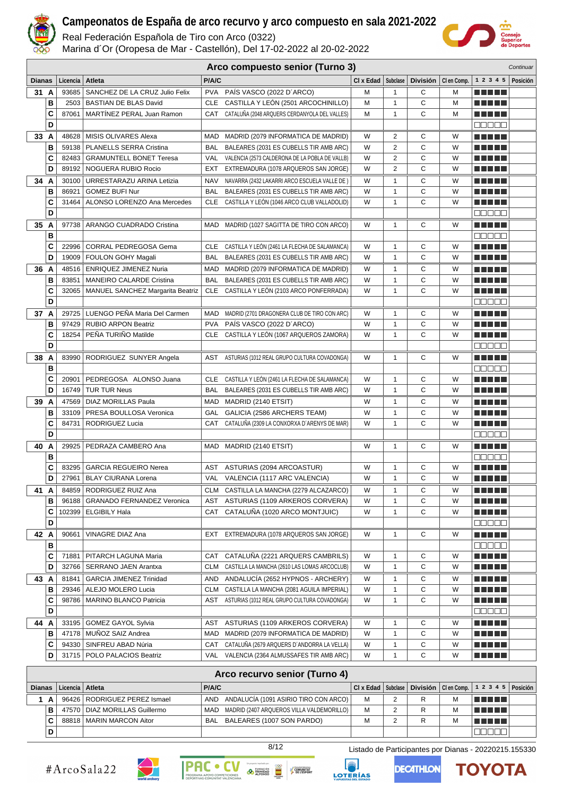

Real Federación Española de Tiro con Arco (0322)

Marina d´Or (Oropesa de Mar - Castellón), Del 17-02-2022 al 20-02-2022



|               | Arco compuesto senior (Turno 3)<br>Continuar |                   |                                          |            |                                                                                      |                               |                   |        |                       |                                 |          |
|---------------|----------------------------------------------|-------------------|------------------------------------------|------------|--------------------------------------------------------------------------------------|-------------------------------|-------------------|--------|-----------------------|---------------------------------|----------|
| <b>Dianas</b> |                                              | Licencia   Atleta |                                          | P/A/C      |                                                                                      | $Cl \times$ Edad $ $ Subclase |                   |        | División   Clen Comp. | 1 2 3 4 5                       | Posición |
| 31 A          |                                              | 93685             | SANCHEZ DE LA CRUZ Julio Felix           | <b>PVA</b> | PAÍS VASCO (2022 D'ARCO)                                                             | М                             | 1                 | С      | M                     | n na mats                       |          |
|               | B                                            |                   | 2503   BASTIAN DE BLAS David             | <b>CLE</b> | CASTILLA Y LEÓN (2501 ARCOCHINILLO)                                                  | M                             | 1                 | C      | M                     |                                 |          |
|               | C                                            | 87061             | MARTINEZ PERAL Juan Ramon                | CAT        | CATALUÑA (2048 ARQUERS CERDANYOLA DEL VALLES)                                        | M                             | $\mathbf{1}$      | C      | M                     | Martin Mar                      |          |
|               | D                                            |                   |                                          |            |                                                                                      |                               |                   |        |                       | 00000                           |          |
| 33 A          |                                              |                   | 48628   MISIS OLIVARES Alexa             | MAD        | MADRID (2079 INFORMATICA DE MADRID)                                                  | W                             | 2                 | С      | W                     | n di Titolo                     |          |
|               | B                                            |                   | 59138   PLANELLS SERRA Cristina          | <b>BAL</b> | BALEARES (2031 ES CUBELLS TIR AMB ARC)                                               | W                             | $\overline{2}$    | C      | W                     |                                 |          |
|               | C                                            |                   | 82483   GRAMUNTELL BONET Teresa          | VAL        | VALENCIA (2573 CALDERONA DE LA POBLA DE VALLB)                                       | W                             | 2                 | C      | W                     | M M M M M                       |          |
|               | D                                            |                   | 89192   NOGUERA RUBIO Rocio              | EXT        | EXTREMADURA (1078 ARQUEROS SAN JORGE)                                                | W                             | 2                 | C      | W                     |                                 |          |
| 34 A          |                                              |                   | 30100 URRESTARAZU ARINA Letizia          | NAV        | NAVARRA (2432 LAKARRI ARCO ESCUELA VALLE DE)                                         | W                             | $\mathbf{1}$      | С      | W                     | MA MEL                          |          |
|               | B                                            | 86921             | <b>GOMEZ BUFI Nur</b>                    | BAL        | BALEARES (2031 ES CUBELLS TIR AMB ARC)                                               | W                             | $\mathbf{1}$      | C      | W                     | M M M M M                       |          |
|               | C                                            |                   | 31464   ALONSO LORENZO Ana Mercedes      |            | CLE CASTILLA Y LEÓN (1046 ARCO CLUB VALLADOLID)                                      | W                             | $\mathbf{1}$      | C      | W                     |                                 |          |
|               | D                                            |                   |                                          |            |                                                                                      |                               |                   |        |                       | 00000                           |          |
| 35 A          |                                              |                   | 97738   ARANGO CUADRADO Cristina         | <b>MAD</b> | MADRID (1027 SAGITTA DE TIRO CON ARCO)                                               | W                             | 1                 | C      | W                     | n na mats                       |          |
|               | B                                            |                   |                                          |            |                                                                                      |                               |                   |        | W                     | <b>noooo</b>                    |          |
|               | C<br>D                                       |                   | 22996 CORRAL PEDREGOSA Gema              | CLE        | CASTILLA Y LEÓN (2461 LA FLECHA DE SALAMANCA)                                        | W                             | $\mathbf{1}$      | C<br>C | W                     | MA METAL<br>e e e e e           |          |
|               |                                              | 19009             | FOULON GOHY Magali                       | <b>BAL</b> | BALEARES (2031 ES CUBELLS TIR AMB ARC)                                               | W                             | $\mathbf{1}$      |        |                       |                                 |          |
| 36 A          |                                              |                   | 48516   ENRIQUEZ JIMENEZ Nuria           | MAD        | MADRID (2079 INFORMATICA DE MADRID)                                                  | W                             | 1                 | С      | W                     | n din bir                       |          |
|               | в<br>C                                       | 83851             | <b>MANEIRO CALARDE Cristina</b>          | <b>BAL</b> | BALEARES (2031 ES CUBELLS TIR AMB ARC)<br>CLE CASTILLA Y LEÓN (2103 ARCO PONFERRADA) | W<br>W                        | 1<br>$\mathbf{1}$ | С<br>C | W<br>W                | <u> El Bel</u><br><u>man ma</u> |          |
|               | D                                            |                   | 32065   MANUEL SANCHEZ Margarita Beatriz |            |                                                                                      |                               |                   |        |                       |                                 |          |
|               |                                              |                   | 29725   LUENGO PEÑA Maria Del Carmen     | MAD        |                                                                                      | W                             | $\mathbf{1}$      | С      | W                     | n na mata                       |          |
| 37 A          | В                                            |                   | 97429   RUBIO ARPON Beatriz              | <b>PVA</b> | MADRID (2701 DRAGONERA CLUB DE TIRO CON ARC)<br>PAÍS VASCO (2022 D'ARCO)             | W                             | 1                 | C      | W                     | n din bir                       |          |
|               | C                                            | 18254             | PEÑA TURIÑO Matilde                      | CLE        | CASTILLA Y LEÓN (1067 ARQUEROS ZAMORA)                                               | W                             | $\mathbf{1}$      | C      | W                     | Martin Mar                      |          |
|               | D                                            |                   |                                          |            |                                                                                      |                               |                   |        |                       | 00000                           |          |
| 38 A          |                                              |                   | 83990   RODRIGUEZ SUNYER Angela          | AST        | ASTURIAS (1012 REAL GRUPO CULTURA COVADONGA)                                         | W                             | 1                 | С      | W                     | n di Titolo                     |          |
|               | B                                            |                   |                                          |            |                                                                                      |                               |                   |        |                       | 00000                           |          |
|               | C                                            | 20901             | PEDREGOSA ALONSO Juana                   | CLE        | CASTILLA Y LEÓN (2461 LA FLECHA DE SALAMANCA)                                        | W                             | 1                 | С      | W                     | <u> Literatur</u>               |          |
|               | D                                            |                   | 16749   TUR TUR Neus                     | <b>BAL</b> | BALEARES (2031 ES CUBELLS TIR AMB ARC)                                               | W                             | $\mathbf{1}$      | C      | W                     | .                               |          |
| 39            | A                                            | 47569             | <b>DIAZ MORILLAS Paula</b>               | MAD        | MADRID (2140 ETSIT)                                                                  | W                             | 1                 | С      | W                     | M M M M M                       |          |
|               | B                                            |                   | 33109   PRESA BOULLOSA Veronica          | <b>GAL</b> | GALICIA (2586 ARCHERS TEAM)                                                          | W                             | $\mathbf{1}$      | С      | W                     | N N T D E                       |          |
|               | C                                            | 84731             | RODRIGUEZ Lucia                          | CAT        | CATALUÑA (2309 LA CONXORXA D'ARENYS DE MAR)                                          | W                             | $\mathbf{1}$      | C      | W                     | n din se                        |          |
|               | D                                            |                   |                                          |            |                                                                                      |                               |                   |        |                       | <b>00000</b>                    |          |
| 40 A          |                                              | 29925             | PEDRAZA CAMBERO Ana                      |            | MAD MADRID (2140 ETSIT)                                                              | W                             | 1                 | С      | W                     | n di Titolo                     |          |
|               | B                                            |                   |                                          |            |                                                                                      |                               |                   |        |                       | <b>BBBBB</b>                    |          |
|               | C                                            | 83295             | <b>GARCIA REGUEIRO Nerea</b>             | AST        | ASTURIAS (2094 ARCOASTUR)                                                            | W                             | $\mathbf{1}$      | C      | W                     | n ni ni ni n                    |          |
|               | D                                            | 27961             | <b>BLAY CIURANA Lorena</b>               |            | VAL VALENCIA (1117 ARC VALENCIA)                                                     | W                             | $\mathbf{1}$      | C      | W                     | n na mata                       |          |
| 41 A          |                                              |                   | 84859   RODRIGUEZ RUIZ Ana               |            | CLM CASTILLA LA MANCHA (2279 ALCAZARCO)                                              | W                             | 1                 | С      | W                     | Martin Mar                      |          |
|               | в                                            | 96188             | <b>GRANADO FERNANDEZ Veronica</b>        | AST        | ASTURIAS (1109 ARKEROS CORVERA)                                                      | W                             | 1                 | С      | W                     | ma matsa                        |          |
|               | C                                            |                   | 102399   ELGIBILY Hala                   |            | CAT CATALUÑA (1020 ARCO MONTJUIC)                                                    | W                             | 1                 | С      | W                     | <u> Literatur</u>               |          |
|               | D                                            |                   |                                          |            |                                                                                      |                               |                   |        |                       | ME SE S                         |          |
| 42 A          |                                              | 90661             | VINAGRE DIAZ Ana                         | EXT        | EXTREMADURA (1078 ARQUEROS SAN JORGE)                                                | W                             | 1                 | С      | W                     | <u> El El El E</u>              |          |
|               | в                                            |                   |                                          |            |                                                                                      |                               |                   |        |                       | MUN DEL                         |          |
|               | C                                            | 71881             | PITARCH LAGUNA Maria                     | CAT        | CATALUÑA (2221 ARQUERS CAMBRILS)                                                     | W                             | 1                 | С      | W                     | <u> El Ser</u>                  |          |
|               | D                                            |                   | 32766   SERRANO JAEN Arantxa             |            | CLM CASTILLA LA MANCHA (2610 LAS LOMAS ARCOCLUB)                                     | W                             | 1                 | С      | W                     | <u> Literatur</u>               |          |
| 43 A          |                                              | 81841             | <b>GARCIA JIMENEZ Trinidad</b>           | AND        | ANDALUCÍA (2652 HYPNOS - ARCHERY)                                                    | W                             | 1                 | С      | W                     | <u> Literatura de la p</u>      |          |
|               | в                                            |                   | 29346   ALEJO MOLERO Lucia               | CLM        | CASTILLA LA MANCHA (2081 AGUILA IMPERIAL)                                            | W                             | 1                 | С      | W                     | e e e e e                       |          |
|               | C                                            |                   | 98786   MARINO BLANCO Patricia           | AST        | ASTURIAS (1012 REAL GRUPO CULTURA COVADONGA)                                         | W                             | 1                 | С      | W                     | <u> Literatur</u>               |          |
|               | D                                            |                   |                                          |            |                                                                                      |                               |                   |        |                       | 88888                           |          |
| 44 A          |                                              |                   | 33195   GOMEZ GAYOL Sylvia               | AST        | ASTURIAS (1109 ARKEROS CORVERA)                                                      | W                             | 1                 | С      | W                     | <u> Heleta </u>                 |          |
|               | В                                            |                   | 47178   MUÑOZ SAIZ Andrea                | MAD        | MADRID (2079 INFORMATICA DE MADRID)                                                  | W                             | 1                 | С      | W                     | <u> Literatur</u>               |          |
|               | С                                            |                   | 94330   SINFREU ABAD Núria               | CAT        | CATALUÑA (2679 ARQUERS D'ANDORRA LA VELLA)                                           | W                             | 1                 | С      | W                     | <u> Literatur</u>               |          |
|               | D                                            |                   | 31715   POLO PALACIOS Beatriz            | VAL        | VALENCIA (2364 ALMUSSAFES TIR AMB ARC)                                               | W                             | $\mathbf{1}$      | С      | W                     | <u> Heleta </u>                 |          |

| Arco recurvo senior (Turno 4) |   |                   |                                 |                                                    |   |   |   |  |                                                                      |  |  |
|-------------------------------|---|-------------------|---------------------------------|----------------------------------------------------|---|---|---|--|----------------------------------------------------------------------|--|--|
| <b>Dianas</b>                 |   | Licencia   Atleta |                                 | <b>P/A/C</b>                                       |   |   |   |  | CI x Edad   Subclase   División   CI en Comp.   1 2 3 4 5   Posición |  |  |
|                               | A |                   | 96426   RODRIGUEZ PEREZ Ismael  | AND ANDALUCIA (1091 ASIRIO TIRO CON ARCO)          | м | っ |   |  | T FIFTI                                                              |  |  |
|                               | в |                   | 47570   DIAZ MORILLAS Guillermo | MADRID (2407 ARQUEROS VILLA VALDEMORILLO)  <br>MAD | М | っ |   |  |                                                                      |  |  |
|                               |   |                   | 88818   MARIN MARCON Aitor      | BALEARES (1007 SON PARDO)<br><b>BAL</b>            | м | ◠ | R |  |                                                                      |  |  |
|                               |   |                   |                                 |                                                    |   |   |   |  |                                                                      |  |  |









8/12 Listado de Participantes por Dianas - 20220215.155330

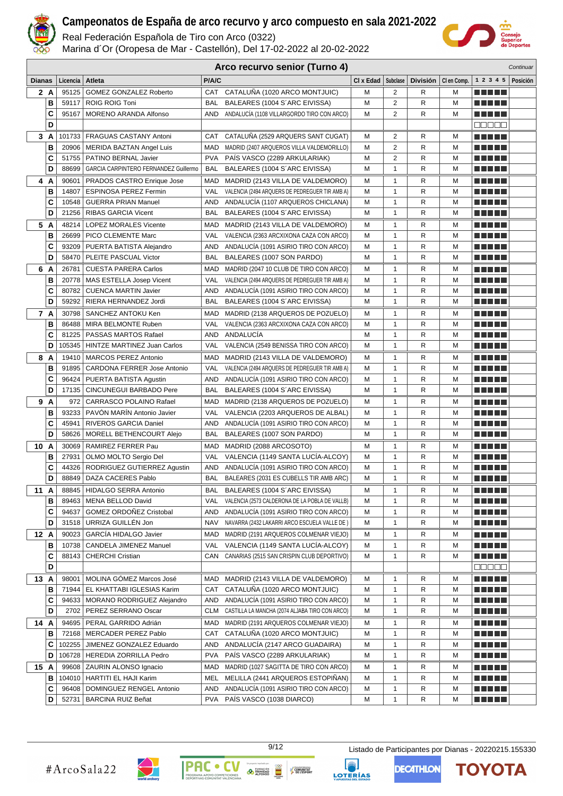

Real Federación Española de Tiro con Arco (0322)

Marina d´Or (Oropesa de Mar - Castellón), Del 17-02-2022 al 20-02-2022



|               | Arco recurvo senior (Turno 4)<br>Continuar |                   |                                               |            |                                                |             |                   |   |   |                                   |          |
|---------------|--------------------------------------------|-------------------|-----------------------------------------------|------------|------------------------------------------------|-------------|-------------------|---|---|-----------------------------------|----------|
| <b>Dianas</b> |                                            | Licencia   Atleta |                                               | P/A/C      |                                                | $Cl x$ Edad | <b>Subclase</b>   |   |   | División   Clen Comp.   1 2 3 4 5 | Posición |
|               | 2 A                                        |                   | 95125 GOMEZ GONZALEZ Roberto                  | CAT        | CATALUÑA (1020 ARCO MONTJUIC)                  | М           | 2                 | R | м | MA MARI                           |          |
|               | в                                          |                   | 59117   ROIG ROIG Toni                        | BAL        | BALEARES (1004 S'ARC EIVISSA)                  | М           | $\overline{2}$    | R | M |                                   |          |
|               | C                                          |                   | 95167   MORENO ARANDA Alfonso                 | AND        | ANDALUCÍA (1108 VILLARGORDO TIRO CON ARCO)     | М           | 2                 | R | м |                                   |          |
|               | D                                          |                   |                                               |            |                                                |             |                   |   |   | 88888                             |          |
|               | 3 A                                        |                   | 101733   FRAGUAS CASTANY Antoni               | CAT        | CATALUÑA (2529 ARQUERS SANT CUGAT)             | м           | 2                 | R | м |                                   |          |
|               | В                                          |                   | 20906   MERIDA BAZTAN Angel Luis              | MAD        | MADRID (2407 ARQUEROS VILLA VALDEMORILLO)      | М           | 2                 | R | M | <b>RICH BILLIN</b>                |          |
|               | C                                          |                   | 51755   PATINO BERNAL Javier                  | <b>PVA</b> | PAIS VASCO (2289 ARKULARIAK)                   | M           | 2                 | R | M | <b>RICH BILLIN</b>                |          |
|               | D                                          |                   | 88699   GARCIA CARPINTERO FERNANDEZ Guillermo | BAL        | BALEARES (1004 S'ARC EIVISSA)                  | М           | 1                 | R | M | a di kacamatan Ing                |          |
|               | 4 A                                        |                   | 90601   PRADOS CASTRO Enrique Jose            | MAD        | MADRID (2143 VILLA DE VALDEMORO)               | М           | 1                 | R | M | n na mats                         |          |
|               | B                                          | 14807             | <b>ESPINOSA PEREZ Fermin</b>                  | VAL        | VALENCIA (2494 ARQUERS DE PEDREGUER TIR AMB A) | М           | $\mathbf{1}$      | R | M | MA MAR                            |          |
|               | C                                          |                   | 10548   GUERRA PRIAN Manuel                   | AND        | ANDALUCÍA (1107 ARQUEROS CHICLANA)             | М           | 1                 | R | м | MA MARI                           |          |
|               | D                                          | 21256             | <b>RIBAS GARCIA Vicent</b>                    | <b>BAL</b> | BALEARES (1004 S'ARC EIVISSA)                  | М           | 1                 | R | м | <u> Literatur</u>                 |          |
| 5             | A                                          | 48214             | <b>LOPEZ MORALES Vicente</b>                  | MAD        | MADRID (2143 VILLA DE VALDEMORO)               | М           | 1                 | R | м | ma matsa                          |          |
|               | B                                          |                   | 26699   PICO CLEMENTE Marc                    | <b>VAL</b> | VALENCIA (2363 ARCXIXONA CAZA CON ARCO)        | М           | 1                 | R | м |                                   |          |
|               |                                            |                   | 93209   PUERTA BATISTA Alejandro              | AND        | ANDALUCIA (1091 ASIRIO TIRO CON ARCO)          | M           | 1                 | R | M |                                   |          |
|               | C<br>D                                     |                   |                                               |            |                                                | М           | 1                 | R |   |                                   |          |
|               |                                            |                   | 58470   PLEITE PASCUAL Victor                 | BAL        | BALEARES (1007 SON PARDO)                      |             |                   |   | M |                                   |          |
| 6             | A                                          | 26781             | <b>CUESTA PARERA Carlos</b>                   | <b>MAD</b> | MADRID (2047 10 CLUB DE TIRO CON ARCO)         | М           | 1                 | R | м | ma matsa                          |          |
|               | В                                          |                   | 20778   MAS ESTELLA Josep Vicent              | VAL        | VALENCIA (2494 ARQUERS DE PEDREGUER TIR AMB A) | M           | 1                 | R | M | <u> La Barta</u>                  |          |
|               | C                                          | 80782             | <b>CUENCA MARTIN Javier</b>                   | AND        | ANDALUCIA (1091 ASIRIO TIRO CON ARCO)          | М           | $\mathbf{1}$      | R | M | <u> El El El E</u>                |          |
|               | D                                          |                   | 59292   RIERA HERNANDEZ Jordi                 | BAL        | BALEARES (1004 S'ARC EIVISSA)                  | M           | 1                 | R | M |                                   |          |
|               | 7 A                                        |                   | 30798   SANCHEZ ANTOKU Ken                    | MAD        | MADRID (2138 ARQUEROS DE POZUELO)              | M           | 1                 | R | м |                                   |          |
|               | B                                          |                   | 86488   MIRA BELMONTE Ruben                   | <b>VAL</b> | VALENCIA (2363 ARCXIXONA CAZA CON ARCO)        | M           | 1                 | R | M | TI TI DE                          |          |
|               | C                                          |                   | 81225   PASSAS MARTOS Rafael                  | AND        | ANDALUCÍA                                      | м           | 1                 | R | м |                                   |          |
|               | D                                          |                   | 105345   HINTZE MARTINEZ Juan Carlos          | VAL        | VALENCIA (2549 BENISSA TIRO CON ARCO)          | М           | 1                 | R | M | <u> El Bibliotto de la Ba</u>     |          |
|               | 8 A                                        |                   | 19410   MARCOS PEREZ Antonio                  | MAD        | MADRID (2143 VILLA DE VALDEMORO)               | м           | 1                 | R | м |                                   |          |
|               | в                                          |                   | 91895   CARDONA FERRER Jose Antonio           | VAL        | VALENCIA (2494 ARQUERS DE PEDREGUER TIR AMB A) | M           | 1                 | R | M | <u> El El El E</u>                |          |
|               | C                                          |                   | 96424   PUERTA BATISTA Agustin                | AND        | ANDALUCIA (1091 ASIRIO TIRO CON ARCO)          | М           | 1                 | R | M | <u> El El El E</u>                |          |
|               | D                                          |                   | 17135   CINCUNEGUI BARBADO Pere               | BAL        | BALEARES (1004 S'ARC EIVISSA)                  | М           | $\mathbf{1}$      | R | M | a da da                           |          |
| 9             | A                                          | 972               | CARRASCO POLAINO Rafael                       | MAD        | MADRID (2138 ARQUEROS DE POZUELO)              | М           | 1                 | R | M | ma matsa                          |          |
|               | в                                          | 93233             | PAVÓN MARÍN Antonio Javier                    | VAL        | VALENCIA (2203 ARQUEROS DE ALBAL)              | М           | $\mathbf{1}$      | R | M | <b>RICH BILLIN</b>                |          |
|               | C                                          | 45941             | RIVEROS GARCIA Daniel                         | AND        | ANDALUCIA (1091 ASIRIO TIRO CON ARCO)          | М           | 1                 | R | м | ma matsa                          |          |
|               | D                                          |                   | 58626   MORELL BETHENCOURT Alejo              | BAL        | BALEARES (1007 SON PARDO)                      | м           | 1                 | R | м | m minimi                          |          |
| 10A           |                                            |                   | 30069   RAMIREZ FERRER Pau                    | MAD        | MADRID (2088 ARCOSOTO)                         | м           | 1                 | R | м | ma matsa                          |          |
|               | в                                          | 27931             | OLMO MOLTO Sergio Del                         | VAL        | VALENCIA (1149 SANTA LUCÍA-ALCOY)              | м           | 1                 | R | м | n di Titolo                       |          |
|               | C                                          | 44326             | RODRIGUEZ GUTIERREZ Agustin                   | AND        | ANDALUCIA (1091 ASIRIO TIRO CON ARCO)          | М           | 1                 | R | M |                                   |          |
|               | D                                          |                   | 88849   DAZA CACERES Pablo                    | BAL        | BALEARES (2031 ES CUBELLS TIR AMB ARC)         | M           | $\mathbf{1}$      | R | M | <u> Literatur</u>                 |          |
| 11 A          |                                            |                   | 88845   HIDALGO SERRA Antonio                 | BAL        | BALEARES (1004 S'ARC EIVISSA)                  | М           | 1                 | R | M | <u> Literatur</u>                 |          |
|               | в                                          |                   | 89463   MENA BELLOD David                     | VAL        | VALENCIA (2573 CALDERONA DE LA POBLA DE VALLB) | М           | 1                 | R | м | <u> El El El E</u>                |          |
|               | C                                          |                   | 94637 GOMEZ ORDOÑEZ Cristobal                 | AND        | ANDALUCÍA (1091 ASIRIO TIRO CON ARCO)          | М           | 1                 | R | M | N E HE H                          |          |
|               | D                                          |                   | 31518   URRIZA GUILLÉN Jon                    | NAV        | NAVARRA (2432 LAKARRI ARCO ESCUELA VALLE DE)   | М           | 1                 | R | M | <u> 2000 - 200</u>                |          |
| 12 A          |                                            |                   | 90023   GARCÍA HIDALGO Javier                 | MAD        | MADRID (2191 ARQUEROS COLMENAR VIEJO)          | М           | 1                 | R | м | <u> Literatur</u>                 |          |
|               | в                                          |                   | 10738   CANDELA JIMENEZ Manuel                |            | VAL VALENCIA (1149 SANTA LUCÍA-ALCOY)          | М           | $\mathbf{1}$      | R | M | e de la politik                   |          |
|               | C                                          |                   | 88143   CHERCHI Cristian                      | CAN        | CANARIAS (2515 SAN CRISPIN CLUB DEPORTIVO)     | м           | 1                 | R | м | <u> Literatur</u>                 |          |
|               | D                                          |                   |                                               |            |                                                |             |                   |   |   | 88888                             |          |
| 13 A          |                                            |                   | 98001   MOLINA GÓMEZ Marcos José              | MAD        | MADRID (2143 VILLA DE VALDEMORO)               | м           | 1                 | R | м | <u> La La La</u>                  |          |
|               | в                                          |                   | 71944 EL KHATTABI IGLESIAS Karim              | CAT        | CATALUÑA (1020 ARCO MONTJUIC)                  | М           | 1                 | R | M | a di kacamatan Ing                |          |
|               | C                                          |                   | 94633   MORANO RODRIGUEZ Alejandro            | AND        | ANDALUCÍA (1091 ASIRIO TIRO CON ARCO)          | М           | 1                 | R | M | a da bid                          |          |
|               | D                                          |                   | 2702   PEREZ SERRANO Oscar                    | CLM        | CASTILLA LA MANCHA (2074 ALJABA TIRO CON ARCO) | М           | $\mathbf{1}$      | R | M | <u> Listo de la </u>              |          |
| 14 A          |                                            |                   | 94695   PERAL GARRIDO Adrián                  | MAD        | MADRID (2191 ARQUEROS COLMENAR VIEJO)          |             |                   |   |   | <u> El El El E</u>                |          |
|               | в                                          |                   | 72168   MERCADER PEREZ Pablo                  | CAT        | CATALUÑA (1020 ARCO MONTJUIC)                  | М           | 1<br>$\mathbf{1}$ | R | M | <u> E SE SE</u>                   |          |
|               |                                            |                   |                                               | AND        | ANDALUCÍA (2147 ARCO GUADAIRA)                 | М<br>М      |                   | R | M |                                   |          |
|               | С                                          |                   | 102255   JIMENEZ GONZALEZ Eduardo             |            |                                                |             | 1                 | R | м | <u> Literatur</u>                 |          |
|               | D                                          |                   | 106728   HEREDIA ZORRILLA Pedro               | <b>PVA</b> | PAÍS VASCO (2289 ARKULARIAK)                   | м           | 1                 | R | м | <u> Literatur</u>                 |          |
| 15 A          |                                            |                   | 99608   ZAURIN ALONSO Ignacio                 | MAD        | MADRID (1027 SAGITTA DE TIRO CON ARCO)         | М           | 1                 | R | M | <u> Literatur</u>                 |          |
|               | в                                          |                   | 104010   HARTITI EL HAJI Karim                | MEL        | MELILLA (2441 ARQUEROS ESTOPIÑAN)              | м           | 1                 | R | м | <u> Literatur</u>                 |          |
|               | С                                          |                   | 96408   DOMINGUEZ RENGEL Antonio              | AND        | ANDALUCÍA (1091 ASIRIO TIRO CON ARCO)          | м           | 1                 | R | M | <u> Literatur</u>                 |          |
|               | D                                          |                   | 52731   BARCINA RUIZ Beñat                    |            | PVA PAIS VASCO (1038 DIARCO)                   | М           | 1                 | R | M | a da da                           |          |



**PAC** 

 $\bullet$ 

9/12 Listado de Participantes por Dianas - 20220215.155330

**EXERCISE DE TRINIDAD** 

COMUNITAT<br>
P DE L'ESPORT



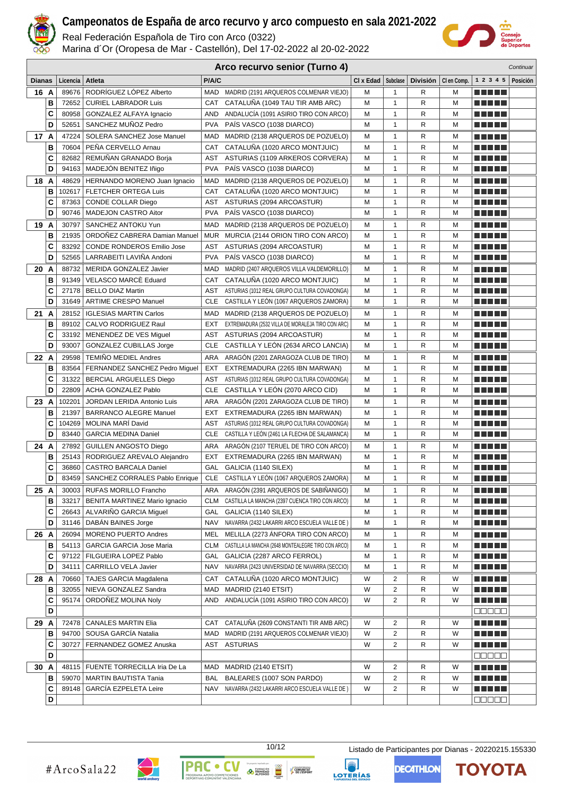

Real Federación Española de Tiro con Arco (0322)

Marina d´Or (Oropesa de Mar - Castellón), Del 17-02-2022 al 20-02-2022



|               | Arco recurvo senior (Turno 4)<br>Continuar |                 |                                                             |            |                                                                                               |             |                         |        |                       |                                        |          |
|---------------|--------------------------------------------|-----------------|-------------------------------------------------------------|------------|-----------------------------------------------------------------------------------------------|-------------|-------------------------|--------|-----------------------|----------------------------------------|----------|
| <b>Dianas</b> |                                            | Licencia        | Atleta                                                      | P/A/C      |                                                                                               | $Cl x$ Edad | Subclase                |        | División   Clen Comp. | 1 2 3 4 5                              | Posición |
| 16 A          |                                            | 89676           | RODRÍGUEZ LÓPEZ Alberto                                     |            | MAD MADRID (2191 ARQUEROS COLMENAR VIEJO)                                                     | М           | 1                       | R      | M                     | n di Tito                              |          |
|               | В                                          | 72652           | <b>CURIEL LABRADOR Luis</b>                                 | CAT        | CATALUÑA (1049 TAU TIR AMB ARC)                                                               | М           | 1                       | R      | м                     | <b>TERRITORIA</b>                      |          |
|               | C                                          | 80958           | GONZALEZ ALFAYA Ignacio                                     | AND        | ANDALUCÍA (1091 ASIRIO TIRO CON ARCO)                                                         | М           | 1                       | R      | M                     | n na mats                              |          |
|               | D                                          | 52651           | SANCHEZ MUÑOZ Pedro                                         | <b>PVA</b> | PAÍS VASCO (1038 DIARCO)                                                                      | М           | 1                       | R      | м                     | Martin Mar                             |          |
| 17 A          |                                            | 47224           | SOLERA SANCHEZ Jose Manuel                                  | MAD        | MADRID (2138 ARQUEROS DE POZUELO)                                                             | М           | 1                       | R      | м                     | MA MELA                                |          |
|               | B                                          | 70604           | PEÑA CERVELLO Arnau                                         | CAT        | CATALUÑA (1020 ARCO MONTJUIC)                                                                 | М           | 1                       | R      | M                     | n di Titolo                            |          |
|               | C                                          | 82682           | REMUÑAN GRANADO Borja                                       | AST        | ASTURIAS (1109 ARKEROS CORVERA)                                                               | М           | $\mathbf{1}$            | R      | M                     | m a mata                               |          |
|               | D                                          | 94163           | MADEJÓN BENITEZ Iñigo                                       | <b>PVA</b> | PAÍS VASCO (1038 DIARCO)                                                                      | М           | 1                       | R      | M                     | <u> Libertal d</u>                     |          |
| 18 A          |                                            | 48629           | HERNANDO MORENO Juan Ignacio                                | MAD        | MADRID (2138 ARQUEROS DE POZUELO)                                                             | М           | $\mathbf{1}$            | R      | M                     | a da birnin b                          |          |
|               | B                                          | 102617          | FLETCHER ORTEGA Luis                                        | <b>CAT</b> | CATALUÑA (1020 ARCO MONTJUIC)                                                                 | М           | 1                       | R      | M                     | M M M M M                              |          |
|               | C                                          | 87363           | <b>CONDE COLLAR Diego</b>                                   | AST        | ASTURIAS (2094 ARCOASTUR)                                                                     | М           | 1                       | R      | м                     | a di kacamatan Ing                     |          |
|               | D                                          | 90746           | MADEJON CASTRO Aitor                                        | <b>PVA</b> | PAÍS VASCO (1038 DIARCO)                                                                      | М           | 1                       | R      | M                     | <u> El Hel</u>                         |          |
| 19 A          |                                            | 30797           | SANCHEZ ANTOKU Yun                                          | <b>MAD</b> | MADRID (2138 ARQUEROS DE POZUELO)                                                             | м           | 1                       | R      | м                     |                                        |          |
|               | B                                          | 21935           | ORDONEZ CABRERA Damian Manuel                               | MUR        | MURCIA (2144 ORION TIRO CON ARCO)                                                             | М           | 1                       | R      | M                     | M M M M M                              |          |
|               | C                                          | 83292           | <b>CONDE RONDEROS Emilio Jose</b>                           | AST        | ASTURIAS (2094 ARCOASTUR)                                                                     | M           | 1                       | R      | M                     | Martin Ma                              |          |
|               | D                                          | 52565           | LARRABEITI LAVIÑA Andoni                                    | <b>PVA</b> | PAÍS VASCO (1038 DIARCO)                                                                      | М           | $\mathbf{1}$            | R      | M                     | Martin Ma                              |          |
| 20 A          |                                            | 88732           | MERIDA GONZALEZ Javier                                      | MAD        | MADRID (2407 ARQUEROS VILLA VALDEMORILLO)                                                     | М           | 1                       | R      | M                     | Martin Ma                              |          |
|               | B                                          | 91349           | VELASCO MARCE Eduard                                        | CAT        | CATALUÑA (1020 ARCO MONTJUIC)                                                                 | М           | $\mathbf{1}$            | R      | M                     | MA MBO                                 |          |
|               | C                                          |                 | 27178   BELLO DIAZ Martin                                   | AST        | ASTURIAS (1012 REAL GRUPO CULTURA COVADONGA)                                                  | М           | 1                       | R      | M                     | T FI FI FI E                           |          |
|               | D                                          |                 | 31649   ARTIME CRESPO Manuel                                | CLE        | CASTILLA Y LEÓN (1067 ARQUEROS ZAMORA)                                                        | М           | $\mathbf{1}$            | R      | м                     | <b>RICH BILLIN</b>                     |          |
| 21 A          |                                            |                 | 28152   IGLESIAS MARTIN Carlos                              |            | MAD MADRID (2138 ARQUEROS DE POZUELO)                                                         | М           | 1                       | R      | м                     | MA MARI                                |          |
|               | в                                          | 89102           | CALVO RODRIGUEZ Raul                                        | EXT        | EXTREMADURA (2532 VILLA DE MORALEJA TIRO CON ARC)                                             | М           | 1                       | R      | м                     | MA MARI                                |          |
|               | C                                          |                 | 33192   MENENDEZ DE VES Miguel                              | AST        | ASTURIAS (2094 ARCOASTUR)                                                                     | M           | 1                       | R      | M                     | n di Titolo                            |          |
|               | D                                          | 93007           | <b>GONZALEZ CUBILLAS Jorge</b>                              | <b>CLE</b> | CASTILLA Y LEÓN (2634 ARCO LANCIA)                                                            | M           | $\mathbf{1}$            | R      | M                     | <u> E E E E E</u>                      |          |
| 22 A          |                                            | 29598           | <b>TEMIÑO MEDIEL Andres</b>                                 | ARA        | ARAGÓN (2201 ZARAGOZA CLUB DE TIRO)                                                           | М           | 1                       | R      | M                     | n na mata                              |          |
|               | B                                          | 83564           | FERNANDEZ SANCHEZ Pedro Miguel                              | <b>EXT</b> | EXTREMADURA (2265 IBN MARWAN)                                                                 | М           | $\mathbf{1}$            | R      | M                     | n na mata                              |          |
|               | C                                          | 31322           | <b>BERCIAL ARGUELLES Diego</b>                              | <b>AST</b> | ASTURIAS (1012 REAL GRUPO CULTURA COVADONGA)                                                  | М           | $\mathbf{1}$            | R      | M                     | Martin Mar                             |          |
|               | D                                          | 22809           | <b>ACHA GONZALEZ Pablo</b>                                  | CLE        | CASTILLA Y LEÓN (2070 ARCO CID)                                                               | М           | 1                       | R      | M                     |                                        |          |
| 23 A          |                                            | 102201          | JORDAN LERIDA Antonio Luis                                  | ARA        | ARAGÓN (2201 ZARAGOZA CLUB DE TIRO)                                                           | М           | $\mathbf{1}$            | R      | M                     | a di kacamatan Ing                     |          |
|               | в                                          | 21397           | <b>BARRANCO ALEGRE Manuel</b>                               | EXT        | EXTREMADURA (2265 IBN MARWAN)                                                                 | М           | 1                       | R      | M                     | M M M M M                              |          |
|               | C<br>D                                     | 104269<br>83440 | <b>MOLINA MARI David</b>                                    | AST<br>CLE | ASTURIAS (1012 REAL GRUPO CULTURA COVADONGA)<br>CASTILLA Y LEÓN (2461 LA FLECHA DE SALAMANCA) | М<br>М      | 1<br>1                  | R<br>R | M<br>M                | <u> El Hel</u><br>n din bin            |          |
|               |                                            |                 | <b>GARCIA MEDINA Daniel</b>                                 |            |                                                                                               |             |                         |        |                       |                                        |          |
| 24 A          | В                                          | 27892           | <b>GUILLEN ANGOSTO Diego</b>                                | ARA        | ARAGÓN (2107 TERUEL DE TIRO CON ARCO)<br>EXTREMADURA (2265 IBN MARWAN)                        | М<br>М      | 1<br>1                  | R<br>R | M<br>M                | M M M M M<br>MA MARI                   |          |
|               | C                                          | 25143<br>36860  | RODRIGUEZ AREVALO Alejandro<br><b>CASTRO BARCALA Daniel</b> | EXT<br>GAL | GALICIA (1140 SILEX)                                                                          | M           | 1                       | R      | M                     | MA MARI                                |          |
|               | D                                          |                 | 83459   SANCHEZ CORRALES Pablo Enrique                      |            | CLE CASTILLA Y LEÓN (1067 ARQUEROS ZAMORA)                                                    | M           | $\mathbf{1}$            | R      | M                     | .                                      |          |
| 25 A          |                                            |                 | 30003   RUFAS MORILLO Francho                               |            | ARA ARAGÓN (2391 ARQUEROS DE SABIÑANIGO)                                                      | М           | 1                       | R      | M                     |                                        |          |
|               | в                                          | 33217           | BENITA MARTINEZ Mario Ignacio                               | CLM        | CASTILLA LA MANCHA (2397 CUENCA TIRO CON ARCO)                                                | М           | 1                       | R      | M                     | <u> Literatur</u>                      |          |
|               | C                                          |                 | 26643   ALVARIÑO GARCIA Miguel                              |            | GAL GALICIA (1140 SILEX)                                                                      | М           | 1                       | R      | M                     | <u> 2009 - 200</u><br><u> La La La</u> |          |
|               | D                                          |                 | 31146   DABÁN BAINES Jorge                                  | NAV        | NAVARRA (2432 LAKARRI ARCO ESCUELA VALLE DE)                                                  | М           | 1                       | R      | M                     | <u> Literatur</u>                      |          |
| 26 A          |                                            |                 | 26094   MORENO PUERTO Andres                                |            | MEL MELILLA (2273 ÁNFORA TIRO CON ARCO)                                                       | М           | 1                       | R      | м                     | <u> Libertal d</u>                     |          |
|               | в                                          |                 | 54113   GARCIA GARCIA Jose Maria                            | CLM        | CASTILLA LA MANCHA (2648 MONTEALEGRE TIRO CON ARCO)                                           | М           | 1                       | R      | M                     | M M M M M                              |          |
|               | С                                          |                 | 97122   FILGUEIRA LOPEZ Pablo                               | <b>GAL</b> | GALICIA (2287 ARCO FERROL)                                                                    | М           | 1                       | R      | M                     | Martin Mar                             |          |
|               | D                                          | 34111           | CARRILLO VELA Javier                                        | NAV        | NAVARRA (2423 UNIVERSIDAD DE NAVARRA (SECCIO)                                                 | М           | 1                       | R      | M                     | <u> Listo de la </u>                   |          |
| 28 A          |                                            | 70660           | <b>TAJES GARCIA Magdalena</b>                               | CAT        | CATALUÑA (1020 ARCO MONTJUIC)                                                                 | W           | 2                       | R      | W                     | a da da                                |          |
|               | в                                          | 32055           | NIEVA GONZALEZ Sandra                                       | MAD        | MADRID (2140 ETSIT)                                                                           | W           | $\overline{\mathbf{c}}$ | R      | W                     | ME SE S                                |          |
|               | C                                          | 95174           | ORDOÑEZ MOLINA Noly                                         | AND        | ANDALUCÍA (1091 ASIRIO TIRO CON ARCO)                                                         | W           | $\overline{\mathbf{c}}$ | R      | W                     | <u> El Bell</u>                        |          |
|               | D                                          |                 |                                                             |            |                                                                                               |             |                         |        |                       | 88888                                  |          |
| 29 A          |                                            | 72478           | <b>CANALES MARTIN Elia</b>                                  | CAT        | CATALUÑA (2609 CONSTANTI TIR AMB ARC)                                                         | W           | 2                       | R      | W                     | <u> E SE SE</u>                        |          |
|               | в                                          |                 | 94700 SOUSA GARCÍA Natalia                                  |            | MAD MADRID (2191 ARQUEROS COLMENAR VIEJO)                                                     | W           | 2                       | R      | W                     | <u> Literatur</u>                      |          |
|               | C                                          | 30727           | FERNANDEZ GOMEZ Anuska                                      |            | AST ASTURIAS                                                                                  | W           | $\overline{\mathbf{c}}$ | R      | W                     | <u> Literatur</u>                      |          |
|               | D                                          |                 |                                                             |            |                                                                                               |             |                         |        |                       | 88888                                  |          |
| 30 A          |                                            |                 | 48115   FUENTE TORRECILLA Iria De La                        | MAD        | MADRID (2140 ETSIT)                                                                           | W           | 2                       | R      | W                     | <u> El Bratal</u>                      |          |
|               | в                                          | 59070           | MARTIN BAUTISTA Tania                                       | BAL        | BALEARES (1007 SON PARDO)                                                                     | W           | $\overline{\mathbf{c}}$ | R      | W                     | a da bir                               |          |
|               | С                                          | 89148           | GARCÍA EZPELETA Leire                                       | NAV        | NAVARRA (2432 LAKARRI ARCO ESCUELA VALLE DE)                                                  | W           | 2                       | R      | W                     | a da bir                               |          |
|               | D                                          |                 |                                                             |            |                                                                                               |             |                         |        |                       | 88888                                  |          |



**O TRINIDAD** 

**PAC** 

 $\bullet$ 

10/12 Listado de Participantes por Dianas - 20220215.155330



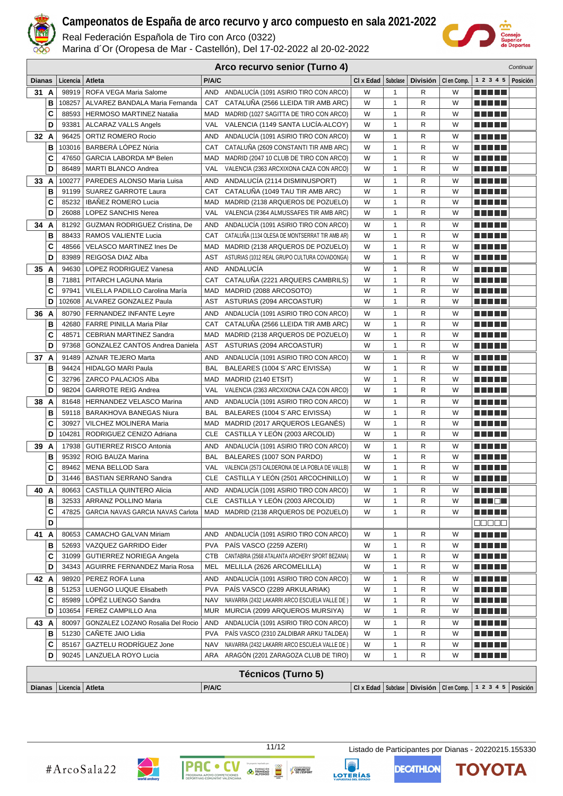

Real Federación Española de Tiro con Arco (0322)

Marina d´Or (Oropesa de Mar - Castellón), Del 17-02-2022 al 20-02-2022



| Arco recurvo senior (Turno 4)<br>Continuar |      |                            |                                      |            |                                                    |           |              |                 |             |                                                                      |          |
|--------------------------------------------|------|----------------------------|--------------------------------------|------------|----------------------------------------------------|-----------|--------------|-----------------|-------------|----------------------------------------------------------------------|----------|
| <b>Dianas</b>                              |      | Licencia                   | Atleta                               | P/A/C      |                                                    | CI x Edad | Subclase     | <b>División</b> | CI en Comp. | 1 2 3 4 5                                                            | Posición |
|                                            | 31 A | 98919                      | ROFA VEGA Maria Salome               | <b>AND</b> | ANDALUCÍA (1091 ASIRIO TIRO CON ARCO)              | W         | 1            | R               | W           |                                                                      |          |
|                                            | B    | 108257                     | ALVAREZ BANDALA Maria Fernanda       | CAT        | CATALUÑA (2566 LLEIDA TIR AMB ARC)                 | W         | $\mathbf{1}$ | R               | W           | <u> Liberal Maria II</u>                                             |          |
|                                            | C    | 88593                      | <b>HERMOSO MARTINEZ Natalia</b>      | MAD        | MADRID (1027 SAGITTA DE TIRO CON ARCO)             | W         | 1            | R               | W           | e e e e e                                                            |          |
|                                            | D    | 93381                      | ALCARAZ VALLS Angels                 | VAL        | VALENCIA (1149 SANTA LUCIA-ALCOY)                  | W         | $\mathbf{1}$ | R               | W           | e e e e e                                                            |          |
| 32 A                                       |      | 96425                      | ORTIZ ROMERO Rocio                   | AND        | ANDALUCÍA (1091 ASIRIO TIRO CON ARCO)              | W         | 1            | R               | W           | ma matsa                                                             |          |
|                                            | в    | 103016                     | BARBERÀ LÓPEZ Núria                  | CAT        | CATALUÑA (2609 CONSTANTI TIR AMB ARC)              | W         | 1            | R               | W           |                                                                      |          |
|                                            | C    | 47650                      | GARCIA LABORDA Mª Belen              | MAD        | MADRID (2047 10 CLUB DE TIRO CON ARCO)             | W         | 1            | R               | W           |                                                                      |          |
|                                            | D    | 86489                      | <b>MARTI BLANCO Andrea</b>           | VAL        | VALENCIA (2363 ARCXIXONA CAZA CON ARCO)            | W         | 1            | R               | W           | .                                                                    |          |
|                                            | 33 A | 100277                     | PAREDES ALONSO Maria Luisa           | AND        | ANDALUCÍA (2114 DISMINUSPORT)                      | W         | $\mathbf{1}$ | R               | W           | n di Titolo                                                          |          |
|                                            | В    | 91199                      | <b>SUAREZ GARROTE Laura</b>          | CAT        | CATALUÑA (1049 TAU TIR AMB ARC)                    | W         | 1            | R               | W           | n na mats                                                            |          |
|                                            | C    | 85232                      | <b>IBANEZ ROMERO Lucia</b>           | MAD        | MADRID (2138 ARQUEROS DE POZUELO)                  | W         | $\mathbf{1}$ | R               | W           | MA MARI                                                              |          |
|                                            | D    | 26088                      | <b>LOPEZ SANCHIS Nerea</b>           | VAL        | VALENCIA (2364 ALMUSSAFES TIR AMB ARC)             | W         | $\mathbf{1}$ | R               | W           | n di Titolo                                                          |          |
|                                            | 34 A | 81292                      | <b>GUZMAN RODRIGUEZ Cristina, De</b> | AND        | ANDALUCÍA (1091 ASIRIO TIRO CON ARCO)              | W         | 1            | R               | W           | n na m                                                               |          |
|                                            | B    | 88433                      | RAMOS VALIENTE Lucia                 | CAT        | CATALUÑA (1134 OLESA DE MONTSERRAT TIR AMB AR)     | W         | $\mathbf{1}$ | R               | W           | n di Titolo                                                          |          |
|                                            | C    | 48566                      | <b>VELASCO MARTINEZ Ines De</b>      | MAD        | MADRID (2138 ARQUEROS DE POZUELO)                  | W         | $\mathbf{1}$ | R               | W           | n di Titolo                                                          |          |
|                                            | D    | 83989                      | REIGOSA DIAZ Alba                    | AST        | ASTURIAS (1012 REAL GRUPO CULTURA COVADONGA)       | W         | 1            | R               | W           | n din bir                                                            |          |
|                                            | 35 A | 94630                      | LOPEZ RODRIGUEZ Vanesa               | <b>AND</b> | ANDALUCÍA                                          | W         | 1            | R               | W           | n na m                                                               |          |
|                                            | в    | 71881                      | PITARCH LAGUNA Maria                 | CAT        | CATALUÑA (2221 ARQUERS CAMBRILS)                   | W         | 1            | R               | W           | .                                                                    |          |
|                                            | C    | 97941                      | VILELLA PADILLO Carolina María       | MAD        | MADRID (2088 ARCOSOTO)                             | W         | 1            | R               | W           | ma matsa                                                             |          |
|                                            | D    | 102608                     | ALVAREZ GONZALEZ Paula               | AST        | ASTURIAS (2094 ARCOASTUR)                          | W         | 1            | R               | W           | n din bir                                                            |          |
|                                            | 36 A | 80790                      | FERNANDEZ INFANTE Leyre              | AND        | ANDALUCÍA (1091 ASIRIO TIRO CON ARCO)              | W         | 1            | R               | W           |                                                                      |          |
|                                            | В    | 42680                      | FARRE PINILLA Maria Pilar            | CAT        | CATALUÑA (2566 LLEIDA TIR AMB ARC)                 | W         | 1            | R               | W           | ma matsa                                                             |          |
|                                            | C    | 48571                      | <b>CEBRIAN MARTINEZ Sandra</b>       | MAD        | MADRID (2138 ARQUEROS DE POZUELO)                  | W         | 1            | R               | W           | <u> El El El E</u>                                                   |          |
|                                            | D    | 97368                      | GONZALEZ CANTOS Andrea Daniela       | AST        | ASTURIAS (2094 ARCOASTUR)                          | W         | 1            | R               | W           | e e e e e                                                            |          |
| 37 A                                       |      | 91489                      | <b>AZNAR TEJERO Marta</b>            | AND        | ANDALUCÍA (1091 ASIRIO TIRO CON ARCO)              | W         | 1            | R               | W           | ma matsa                                                             |          |
|                                            | В    | 94424                      | <b>HIDALGO MARI Paula</b>            | <b>BAL</b> | BALEARES (1004 S'ARC EIVISSA)                      | W         | 1            | R               | W           | a di seb                                                             |          |
|                                            | C    | 32796                      | ZARCO PALACIOS Alba                  | MAD        | MADRID (2140 ETSIT)                                | W         | 1            | R               | W           |                                                                      |          |
|                                            | D    | 98204                      | <b>GARROTE REIG Andrea</b>           | VAL        | VALENCIA (2363 ARCXIXONA CAZA CON ARCO)            | W         | 1            | R               | W           |                                                                      |          |
|                                            | 38 A | 81648                      | <b>HERNANDEZ VELASCO Marina</b>      | AND        | ANDALUCÍA (1091 ASIRIO TIRO CON ARCO)              | W         | 1            | R               | W           | n di Titolo                                                          |          |
|                                            | В    | 59118                      | <b>BARAKHOVA BANEGAS Niura</b>       | <b>BAL</b> | BALEARES (1004 S'ARC EIVISSA)                      | W         | 1            | R               | W           | M M M M M                                                            |          |
|                                            | C    | 30927                      | VILCHEZ MOLINERA Maria               | MAD        | MADRID (2017 ARQUEROS LEGANES)                     | W         | $\mathbf{1}$ | R               | W           | n di Titolo                                                          |          |
|                                            | D    | 104281                     | RODRIGUEZ CENIZO Adriana             | CLE        | CASTILLA Y LEÓN (2003 ARCOLID)                     | W         | 1            | R               | W           | a di seb                                                             |          |
|                                            | 39 A | 17938                      | <b>GUTIERREZ RISCO Antonia</b>       | AND        | ANDALUCÍA (1091 ASIRIO TIRO CON ARCO)              | W         | 1            | R               | W           | n na m                                                               |          |
|                                            | B    | 95392                      | ROIG BAUZA Marina                    | <b>BAL</b> | BALEARES (1007 SON PARDO)                          | W         | 1            | R               | W           | n di Titolo                                                          |          |
|                                            | C    | 89462                      | <b>MENA BELLOD Sara</b>              | VAL        | VALENCIA (2573 CALDERONA DE LA POBLA DE VALLB)     | W         | 1            | R               | W           | M SI SI SI S                                                         |          |
|                                            | D    |                            | 31446   BASTIAN SERRANO Sandra       |            | CLE CASTILLA Y LEÓN (2501 ARCOCHINILLO)            | W         | $\mathbf{1}$ | R               | W           | ma matsa                                                             |          |
|                                            | 40 A | 80663                      | CASTILLA QUINTERO Alicia             |            | AND ANDALUCÍA (1091 ASIRIO TIRO CON ARCO)          | W         | 1            | R               | W           | <u> Literatur</u>                                                    |          |
|                                            | В    | 32533                      | ARRANZ POLLINO Maria                 |            | CLE CASTILLA Y LEÓN (2003 ARCOLID)                 | W         | 1            | R               | W           | <u> HILLEL</u>                                                       |          |
|                                            | C    | 47825                      | GARCIA NAVAS GARCIA NAVAS Carlota    |            | MAD MADRID (2138 ARQUEROS DE POZUELO)              | W         | 1            | R               | W           | <u> Literatur</u>                                                    |          |
|                                            | D    |                            |                                      |            |                                                    |           |              |                 |             | <u> - - - - - </u>                                                   |          |
|                                            | 41 A | 80653                      | CAMACHO GALVAN Miriam                | AND        | ANDALUCÍA (1091 ASIRIO TIRO CON ARCO)              | W         | 1            | R               | W           | <u> Literatur</u>                                                    |          |
|                                            | в    | 52693                      | VAZQUEZ GARRIDO Eider                |            | PVA PAÍS VASCO (2259 AZERI)                        | W         | 1            | R               | W           | n na na                                                              |          |
|                                            | C    | 31099                      | GUTIERREZ NORIEGA Angela             |            | CTB CANTABRIA (2568 ATALANTA ARCHERY SPORT BEZANA) | W         | 1            | R               | W           | N E HE H                                                             |          |
|                                            | D    | 34343                      | AGUIRRE FERNANDEZ Maria Rosa         |            | MEL MELILLA (2626 ARCOMELILLA)                     | W         | 1            | R               | W           | N E HE H                                                             |          |
|                                            | 42 A | 98920                      | PEREZ ROFA Luna                      |            | AND ANDALUCÍA (1091 ASIRIO TIRO CON ARCO)          | W         | 1            | R               | W           | N E HE H                                                             |          |
|                                            | в    |                            | 51253   LUENGO LUQUE Elisabeth       |            | PVA PAÍS VASCO (2289 ARKULARIAK)                   | W         | 1            | R               | W           | <u> Literatur</u>                                                    |          |
|                                            | С    |                            | 85989   LÓPÉZ LUENGO Sandra          |            | NAV NAVARRA (2432 LAKARRI ARCO ESCUELA VALLE DE)   | W         | 1            | R               | W           | TI NI TITL                                                           |          |
|                                            | D    | 103654                     | FEREZ CAMPILLO Ana                   |            | MUR MURCIA (2099 ARQUEROS MURSIYA)                 | W         | 1            | R               | W           | <u> Literatur</u>                                                    |          |
|                                            | 43 A | 80097                      | GONZALEZ LOZANO Rosalia Del Rocio    | AND        | ANDALUCÍA (1091 ASIRIO TIRO CON ARCO)              | W         | 1            | R               | W           |                                                                      |          |
|                                            | в    |                            | 51230   CAÑETE JAIO Lidia            | <b>PVA</b> | PAÍS VASCO (2310 ZALDIBAR ARKU TALDEA)             | W         | 1            | R               | W           |                                                                      |          |
|                                            | C    | 85167                      | GAZTELU RODRÍGUEZ Jone               | NAV        | NAVARRA (2432 LAKARRI ARCO ESCUELA VALLE DE)       | W         | 1            | R               | W           | <u> Literatur</u>                                                    |          |
|                                            | D    |                            | 90245   LANZUELA ROYO Lucia          |            | ARA ARAGÓN (2201 ZARAGOZA CLUB DE TIRO)            | W         | 1            | R               | W           | <u> Literatur</u>                                                    |          |
|                                            |      |                            |                                      |            |                                                    |           |              |                 |             |                                                                      |          |
|                                            |      |                            |                                      |            | <b>Técnicos (Turno 5)</b>                          |           |              |                 |             |                                                                      |          |
|                                            |      | Dianas   Licencia   Atleta |                                      | P/A/C      |                                                    |           |              |                 |             | CI x Edad   Subclase   División   CI en Comp.   1 2 3 4 5   Posición |          |



COMUNITAT<br>
P DE L'ESPORT



**DECATHLON** 

ΤΟΥΟΤΑ